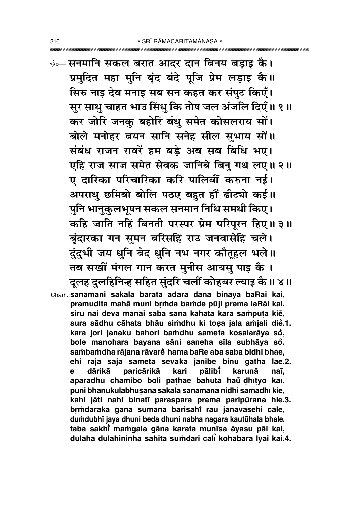कंन्सनमानि सकल बरात आदर दान बिनय बडाइ कै। प्रमुदित महा मुनि बृंद बंदे पूजि प्रेम लड़ाइ कै।। सिरु नाइ देव मनाइ सब सन कहत कर संपुट किएँ। सुर साधु चाहत भाउ सिंधु कि तोष जल अंजलि दिएँ॥ १॥ कर जोरि जनकु बहोरि बंधु समेत कोसलराय सों। बोले मनोहर बयन सानि सनेह सील सुभाय सों॥ संबंध राजन रावरें हम बड़े अब सब बिधि भए। एहि राज साज समेत सेवक जानिबे बिन् गथ लए॥२॥ ए दारिका परिचारिका करि पालिबीं करुना नई। अपराधु छमिबो बोलि पठए बहुत हौं ढीट्यो कई।। पुनि भानुकुलभूषन सकल सनमान निधि समधी किए। कहि जाति नहिं बिनती परस्पर प्रेम परिपूरन हिए॥३॥ बृंदारका गन सुमन बरिसहिं राउ जनवासेहि चले। दुंदुभी जय धुनि बेद धुनि नभ नगर कौतूहल भले।। तब सखीं मंगल गान करत मुनीस आयसु पाइ कै। दुलह दुलहिनिन्ह सहित सुंदरि चलीं कोहबर ल्याइ कै ॥ ४॥ Cham.: sanamāni sakala barāta ādara dāna binaya baRāi kai, pramudita mahā muni brmda bamde pūji prema laRāi kai. siru nāi deva manāi saba sana kahata kara samputa kie, sura sādhu cāhata bhāu simdhu ki tosa jala amjali die.1. kara jori janaku bahori bamdhu sameta kosalarāya so, bole manohara bayana sāni saneha sīla subhāya so. sambamdha rājana rāvare hama baRe aba saba bidhi bhae, ehi rāja sāja sameta sevaka jānibe binu gatha lae.2. paricārikā pālibi e dārikā kari karunā naī, aparādhu chamibo boli pathae bahuta haŭ dhītyo kaī.

puni bhānukulabhūsana sakala sanamāna nidhi samadhī kie, kahi jāti nahi binatī paraspara prema paripūrana hie.3. brmdārakā gana sumana barisahi rāu janavāsehi cale, dumdubhī jaya dhuni beda dhuni nabha nagara kautūhala bhale. taba sakhi mamgala gāna karata munīsa āyasu pāi kai, dūlaha dulahininha sahita sumdari cali kohabara lyāi kai.4.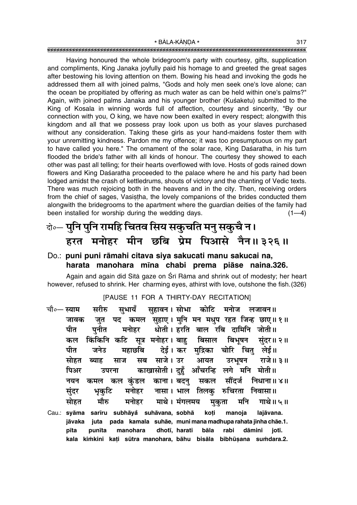Having honoured the whole bridegroom's party with courtesy, gifts, supplication and compliments, King Janaka joyfully paid his homage to and greeted the great sages after bestowing his loving attention on them. Bowing his head and invoking the gods he addressed them all with joined palms, "Gods and holy men seek one's love alone; can the ocean be propitiated by offering as much water as can be held within one's palms?" Again, with joined palms Janaka and his younger brother (Kuśaketu) submitted to the King of Kosala in winning words full of affection, courtesy and sincerity, "By our connection with you, O king, we have now been exalted in every respect; alongwith this kingdom and all that we possess pray look upon us both as your slaves purchased without any consideration. Taking these girls as your hand-maidens foster them with your unremitting kindness. Pardon me my offence; it was too presumptuous on my part to have called you here." The ornament of the solar race, King Dasaratha, in his turn flooded the bride's father with all kinds of honour. The courtesy they showed to each other was past all telling; for their hearts overflowed with love. Hosts of gods rained down flowers and King Dasaratha proceeded to the palace where he and his party had been lodged amidst the crash of kettledrums, shouts of victory and the chanting of Vedic texts. There was much rejoicing both in the heavens and in the city. Then, receiving orders from the chief of sages, Vasistha, the lovely companions of the brides conducted them alongwith the bridegrooms to the apartment where the guardian deities of the family had been installed for worship during the wedding days.  $(1-4)$ 

# दो**०— पुनि पुनि रामहि चितव सिय सकुचति मनु सकुचै न।** हरत मनोहर मीन छबि प्रेम पिआसे नैन॥३२६॥

#### Do.: **puni puni råmahi citava siya sakucati manu sakucai na, harata manohara m∂na chabi prema piåse naina.326.**

Again and again did Sītā gaze on Śrī Rāma and shrink out of modesty; her heart however, refused to shrink. Her charming eyes, athirst with love, outshone the fish.(326)

#### [PAUSE 11 FOR A THIRTY-DAY RECITATION]

चौ०— स्याम सरीरु सभायँ सहावन।**सोभा कोटि मनोज लजावन॥** जावक जुत पद कमल सुहाए। मुनि मन मधुप रहत जिन्ह छाए॥१॥ <u>पीत पनीत मनोहर धोती ।हरति बाल रबि दामिनि जोती ।।</u> ेकल किंकिनि कटि सत्र मनोहर। बाह बिसाल बिभुषन संदर॥ २॥ पीत जनेउ महाछबि देई। कर**्मुद्रिका चोरि चितु लेई**॥ सोहत ब्याह साज सब साजे।उर आयत उरभूषन राजे॥३॥ पिअर उपरना काखासोती।दुहुँ आँचरन्हि लगे मनि मोती॥ नयन कमल कल**्कुंडल काना। बदनु सकल सौंदर्ज निधाना॥४**॥ **सुंदर भृकुटि मनोहर नासा**। भाल तिलकु रुचिरता निवासा॥ सोहत मौरु मनोहर माथे। मंगलमय मकता मनि गाथे॥ ५ ॥ Cau.: **syåma sar∂ru subhåya° suhåvana, sobhå ko¢i manoja lajåvana. jåvaka juta pada kamala suhåe, muni mana madhupa rahata jinha chåe.1. p∂ta pun∂ta manohara dhot∂, harati båla rabi dåmini jot∂.** kala kimkini kati sūtra manohara, bāhu bisāla bibhūsana sumdara.2.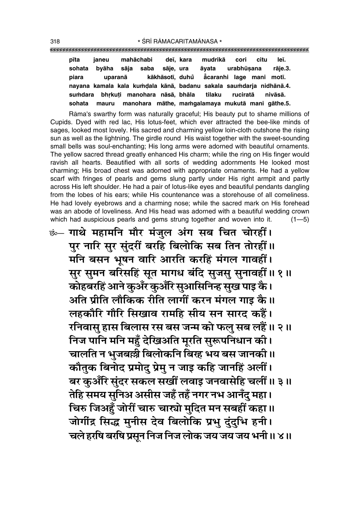| pīta   | ianeu                                                               | mahāchabi |           | deī. kara | mudrikā cori                                           |            | citu | leī.    |
|--------|---------------------------------------------------------------------|-----------|-----------|-----------|--------------------------------------------------------|------------|------|---------|
| sohata | bvāha sāja saba                                                     |           | sāje, ura |           | āvata                                                  | urabhūsana |      | rāie.3. |
| piara  |                                                                     |           |           |           | uparanā kākhāsotī, duhů acaranhi lage mani motī.       |            |      |         |
|        | nayana kamala kala kumdala kānā, badanu sakala saumdarja nidhānā.4. |           |           |           |                                                        |            |      |         |
|        | sumdara bhrkuti manohara nāsā, bhāla tilaku ruciratā                |           |           |           |                                                        |            |      | nivāsā. |
| sohata |                                                                     |           |           |           | mauru manohara māthe, mamgalamaya mukutā mani gāthe.5. |            |      |         |

Råma's swarthy form was naturally graceful; His beauty put to shame millions of Cupids. Dyed with red lac, His lotus-feet, which ever attracted the bee-like minds of sages, looked most lovely. His sacred and charming yellow loin-cloth outshone the rising sun as well as the lightning. The girdle round His waist together with the sweet-sounding small bells was soul-enchanting; His long arms were adorned with beautiful ornaments. The yellow sacred thread greatly enhanced His charm; while the ring on His finger would ravish all hearts. Beautified with all sorts of wedding adornments He looked most charming; His broad chest was adorned with appropriate ornaments. He had a yellow scarf with fringes of pearls and gems slung partly under His right armpit and partly across His left shoulder. He had a pair of lotus-like eyes and beautiful pendants dangling from the lobes of his ears; while His countenance was a storehouse of all comeliness. He had lovely eyebrows and a charming nose; while the sacred mark on His forehead was an abode of loveliness. And His head was adorned with a beautiful wedding crown which had auspicious pearls and gems strung together and woven into it.  $(1-5)$ 

**छं— गाथे महामनि मौर मंजुल अंग सब चित चोरहीं।** पुर नारि सुर सुंदरीं बरहि बिलोकि सब तिन तोरहीं ॥ **मनि बसन भूषन वारि आरति करहिं मंगल गावहीं।** सुर सुमन बरिसहिं सूत मागध बंदि सुजसु सुनावहीं ॥ १ ॥ **कोहबरहिं आने कुअँर कुअँरि सुआसिनिन्ह सुख पाइ के।** अति प्रीति लौकिक रीति लागीं करन मंगल गाइ कै ॥ **लहकौरि गौरि सिखाव रामहि सीय सन सारद कहैं।**  $\tau$ सिवास् हास बिलास रस बस जन्म को फल् सब लहैं ॥ २ ॥ <u>निज पानि मनि महुँ देखिअति मूरति सुरूपनिधान को।</u> **चालति न भुजब**स्त्री बिलोकनि बिरह भय बस जानकी ॥ **कौतुक बिनोद प्रमोदु प्रेमु न जाइ कहि जानहिं अलीं। बर कुअँरि सुंदर सकल सखीं लवाइ जनवासेहि चलीं॥** ३॥ <u>तेहि समय सुनिअ असीस जहँ तहँ नगर नभ आनँदु महा।</u> <u>चिरु जिअहूँ जोरीं चारु चार्त्यो मुदित मन सबहीं कहा ॥</u> जोर्गीद्र सिद्ध मुनीस देव बिलोकि प्रभु दुंदुभि हनी। <u>चले हरषि बरषि प्रसून निज निज लोक जय जय जय भनी ॥ ४ ॥</u>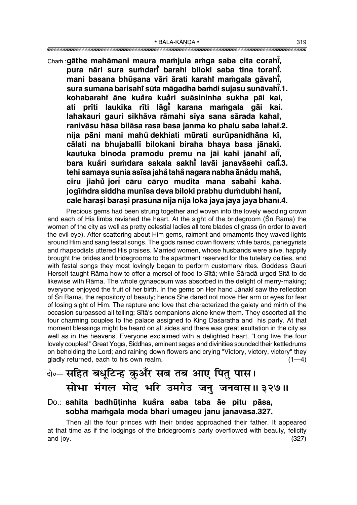""""""""""""""""""""""""""""""""""""""""""""""""""""""""""""""""""""""""""""""""""" \* BÅLA-KŰNœA \* <sup>319</sup>

Chaṁ.:gāthe mahāmani maura maṁjula aṁga saba cita corahi̇̃, **pura nåri sura su≈dar∂° barahi biloki saba tina torah∂° . mani basana bhūṣana vāri ārati karahi maṁgala gāvah<u>ī</u>, sura sumana barisahiÚ sµuta mågadha ba≈di sujasu sunåvah∂° .1. kohabarahiÚ åne kua°ra kua°ri suåsininha sukha påi kai, ati pr∂ti laukika r∂ti låg∂° karana ma≈gala gåi kai.** lahakauri gauri sikhāva rāmahi sīya sana sārada kaha**ř, ranivåsu håsa bilåsa rasa basa janma ko phalu saba lahaiÚ .2.** nija pāni mani mahů dekhiati mūrati surūpanidhāna kī, **cålati na bhujaball∂ bilokani biraha bhaya basa jånak∂. kautuka binoda pramodu premu na jāi kahi jānahi alīļ, bara kua°ri su≈dara sakala sakh∂° lavåi janavåsehi cal∂° .3. tehi samaya sunia as∂sa jaha taha ° nagara nabha åna ° °du mahå, ciru jiahu jor∂ ° ° cåru cåryo mudita mana sabah∂° kahå.** jogīmdra siddha munīsa deva biloki prabhu dumdubhi hanī, **cale hara¶i bara¶i prasµuna nija nija loka jaya jaya jaya bhan∂.4.**

Precious gems had been strung together and woven into the lovely wedding crown and each of His limbs ravished the heart. At the sight of the bridegroom (Srī Rāma) the women of the city as well as pretty celestial ladies all tore blades of grass (in order to avert the evil eye). After scattering about Him gems, raiment and ornaments they waved lights around Him and sang festal songs. The gods rained down flowers; while bards, panegyrists and rhapsodists uttered His praises. Married women, whose husbands were alive, happily brought the brides and bridegrooms to the apartment reserved for the tutelary deities, and with festal songs they most lovingly began to perform customary rites. Goddess Gaurī Herself taught Rāma how to offer a morsel of food to Sītā; while Śāradā urged Sītā to do likewise with Råma. The whole gynaeceum was absorbed in the delight of merry-making; everyone enjoyed the fruit of her birth. In the gems on Her hand Jānakī saw the reflection of Śrī Rāma, the repository of beauty; hence She dared not move Her arm or eyes for fear of losing sight of Him. The rapture and love that characterized the gaiety and mirth of the occasion surpassed all telling; S∂tå's companions alone knew them. They escorted all the four charming couples to the palace assigned to King Dasaratha and his party. At that moment blessings might be heard on all sides and there was great exultation in the city as well as in the heavens. Everyone exclaimed with a delighted heart, "Long live the four lovely couples!" Great Yog∂s, Siddhas, eminent sages and divinities sounded their kettledrums on beholding the Lord; and raining down flowers and crying "Victory, victory, victory" they gladly returned, each to his own realm.  $(1-4)$ 

# दो∘– **सहित बधूटिन्ह कुअँर सब तब आए पितु पास।** सोभा मंगल मोद भरि उमगेउ जनु जनवास॥३२७॥

#### Do.: sahita badhūtinha kuåra saba taba āe pitu pāsa, sobhā mamqala moda bhari umaqeu janu janavāsa.327.

Then all the four princes with their brides approached their father. It appeared at that time as if the lodgings of the bridegroom's party overflowed with beauty, felicity and joy. (327)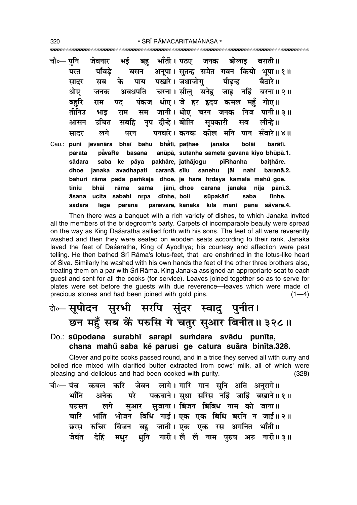\* ŚRĪ RĀMACARITAMĀNASA \*

|        | चौ∘— पुनि  जेवनार  भई  बहु  भाँती। पठए  जनक  बोलाइ  बराती॥ |  |                                             |  |  |                                                          |  |
|--------|------------------------------------------------------------|--|---------------------------------------------|--|--|----------------------------------------------------------|--|
| परत    |                                                            |  |                                             |  |  | पाँवड़े बसन अनूपा।सुतन्ह समेत गवन कियो भूपा॥१॥           |  |
| सादर   |                                                            |  | सब के पाय पखारे।जथाजोगु पीढ़न्ह बैठारे॥     |  |  |                                                          |  |
| धोए    |                                                            |  |                                             |  |  | जनक अवधपति चरना।सीलु सनेहु जाइ नहिं बरना॥२॥              |  |
| बहुरि  |                                                            |  | राम पद पंकज धोए। जे हर हृदय कमल महँ गोए॥    |  |  |                                                          |  |
| तीनिउ  |                                                            |  |                                             |  |  | भाइ राम सम जानी।।धोए चरन जनक निज पानी॥३॥                 |  |
| आसन    | उचित सबहि नृप दीन्हे।बोलि सूपकारी सब लीन्हे॥               |  |                                             |  |  |                                                          |  |
| सादर   |                                                            |  |                                             |  |  | लगे परन पनवारे।कनक कील मनि पान सँवारे॥४॥                 |  |
|        | Cau.: puni jevanāra bhaī bahu bhẳtī, paṭhae janaka bolāi   |  |                                             |  |  | barātī.                                                  |  |
| parata |                                                            |  |                                             |  |  | pavaRe basana anūpā, sutanha sameta gavana kiyo bhūpā.1. |  |
| sādara |                                                            |  | saba ke pāya pakhāre, jathājogu pīRhanha    |  |  | baithāre.                                                |  |
| dhoe   |                                                            |  |                                             |  |  | janaka avadhapati caranā, sīlu sanehu jāi nahi baranā.2. |  |
| bahuri |                                                            |  |                                             |  |  | rāma pada pamkaja dhoe, je hara hrdaya kamala mahů goe.  |  |
| tīniu  | bhāi                                                       |  |                                             |  |  | rāma sama jānī, dhoe carana janaka nija pānī.3.          |  |
| āsana  |                                                            |  | ucita sabahi nrpa dīnhe, boli sūpakārī saba |  |  | līnhe.                                                   |  |

sādara panavāre, kanaka kīla mani pāna såvāre.4. lage parana Then there was a banquet with a rich variety of dishes, to which Janaka invited

all the members of the bridegroom's party. Carpets of incomparable beauty were spread on the way as King Daśaratha sallied forth with his sons. The feet of all were reverently washed and then they were seated on wooden seats according to their rank. Janaka laved the feet of Daśaratha, King of Ayodhya; his courtesy and affection were past telling. He then bathed Srī Rāma's lotus-feet, that are enshrined in the lotus-like heart of Siva. Similarly he washed with his own hands the feet of the other three brothers also, treating them on a par with Sri Rama. King Janaka assigned an appropriarte seat to each quest and sent for all the cooks (for service). Leaves joined together so as to serve for plates were set before the guests with due reverence—leaves which were made of precious stones and had been joined with gold pins.  $(1-4)$ 

# के—सूपोदन सुरभी सरपि सुंदर स्वादु पुनीत। छन महँ सब कें परुसि गे चतुर सुआर बिनीत॥ ३२८॥

#### Do.: sūpodana surabhī sarapi sumdara svādu punīta, chana mahů saba kě parusi ge catura suāra binīta.328.

Clever and polite cooks passed round, and in a trice they served all with curry and boiled rice mixed with clarified butter extracted from cows' milk, all of which were pleasing and delicious and had been cooked with purity.  $(328)$ 

जेवन लागे। गारि गान सनि अति अनुरागे॥ चौ०— **पंच** कवल करि पकवाने । सधा सरिस नहिं जाहिं बखाने ॥ १ ॥ भाँति पो अनेक सुआर सुजाना। बिंजन बिबिध नाम को जाना॥ लगे परुसन भाँति भोजन बिधि गाई। एक एक बिधि बरनि न जाई॥ २॥ चारि छरस रुचिर बिंजन बहु जाती।एक एक रस अगनित भाँती॥ धनि गारी। लै लै नाम परुष अरु नारी॥३॥ जेवँत देहिं मधर

320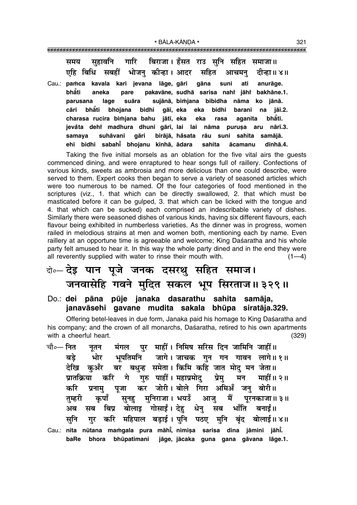गारि बिराजा। हँसत राउ सनि सहित समाजा॥ सहावनि समय सबहीं भोजन कीन्हा। आदर एहि बिधि सहित आचमन दीन्हा॥ ४॥ Cau.: pamca kavala kari jevana lāge, gāri gāna suni ati anurāge. bhăti pakavāne, sudhā sarisa nahi jāhi bakhāne.1. aneka pare parusana lage suāra sujānā, bimjana bibidha nāma ko jānā. cāri **bhati** bhoiana bidhi gāī, eka eka bidhi barani na jāī.2. charasa rucira bimjana bahu jātī, eka bhatī. eka rasa aganita jevåta dehi madhura dhuni gārī, lai lai nāma purusa aru nārī.3. samava suhāvani aāri birājā, håsata rāu suni sahita samājā. ehi bidhi sabahi bhojanu kinhā, ādara sahita ācamanu dīnhā.4.

Taking the five initial morsels as an oblation for the five vital airs the guests commenced dining, and were enraptured to hear songs full of raillery. Confections of various kinds, sweets as ambrosia and more delicious than one could describe, were served to them. Expert cooks then began to serve a variety of seasoned articles which were too numerous to be named. Of the four categories of food mentioned in the scriptures (viz., 1. that which can be directly swallowed, 2. that which must be masticated before it can be gulped, 3. that which can be licked with the tongue and 4. that which can be sucked) each comprised an indescribable variety of dishes. Similarly there were seasoned dishes of various kinds, having six different flavours, each flavour being exhibited in numberless varieties. As the dinner was in progress, women railed in melodious strains at men and women both, mentioning each by name. Even raillery at an opportune time is agreeable and welcome; King Daśaratha and his whole party felt amused to hear it. In this way the whole party dined and in the end they were all reverently supplied with water to rinse their mouth with.  $(1-4)$ 

# केन्टेइ पान पूजे जनक दसरथु सहित समाज। जनवासेहि गवने मुदित सकल भूप सिरताज॥३२९॥

#### Do.: dei pāna pūje janaka dasarathu sahita samāja, janavāsehi gavane mudita sakala bhūpa siratāja.329.

Offering betel-leaves in due form, Janaka paid his homage to King Daśaratha and his company; and the crown of all monarchs, Dasaratha, retired to his own apartments with a cheerful heart  $(329)$ 

- मंगल पुर माहीं। निमिष सरिस दिन जामिनि जाहीं॥ चौ०— नित नतन भूपतिमनि जागे। जाचक गुन गन गावन लागे॥१॥ भोर बडे बर बधन्ह समेता। किमि कहि जात मोद मन जेता॥ देखि कअँर करि गे गुरु पाहीं। महाप्रमोद प्रेम् प्रातक्रिया मन माहीं॥ २॥ कर जोरी। बोले गिरा अमिअँ जनु बोरी॥ करि पजा प्रनाम मनिराजा। भयउँ आजु मैं परनकाजा। ३॥ तम्हरी कपाँ सनह बोलाइ गोसाईं। देह बनाई ॥ बिप्र धेन् सब भाँति अब सब करि महिपाल बडाई। पनि पठए मनि बंद बोलाई॥४॥ मनि गर
- Cau.: nita nūtana mamgala pura māhi, nimiṣa sarisa dina jāmini jāhi. bhora bhūpatimani jāge, jācaka guna gana gāvana lāge.1. baRe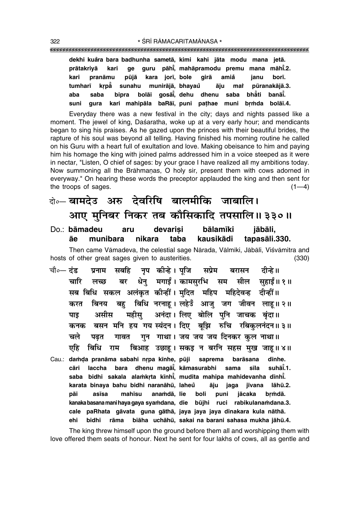| dekhi kuåra bara badhunha sametā, kimi kahi jāta modu mana jetā. |
|------------------------------------------------------------------|
| prātakriyā kari ge guru pāhi, mahāpramodu premu mana māhi.2.     |
| kari pranāmu pūjā kara jorī, bole girā amiå janu borī.           |
| tumharī krpā sunahu munirājā, bhayau āju mai pūranakājā.3.       |
| aba saba bipra bolāi gosāi, dehu dhenu saba bhāti banāi.         |
| suni gura kari mahipāla baRāi, puni pathae muni brmda bolāi.4.   |

Everyday there was a new festival in the city; days and nights passed like a moment. The jewel of king, Dasaratha, woke up at a very early hour; and mendicants began to sing his praises. As he gazed upon the princes with their beautiful brides, the rapture of his soul was beyond all telling. Having finished his morning routine he called on his Guru with a heart full of exultation and love. Making obeisance to him and paying him his homage the king with joined palms addressed him in a voice steeped as it were in nectar, "Listen, O chief of sages: by your grace I have realized all my ambitions today. Now summoning all the Brāhmanas, O holy sir, present them with cows adorned in everyway." On hearing these words the preceptor applauded the king and then sent for the troops of sages.  $(1-4)$ 

# दो**०– बामदेउ अरु देवरिषि बालमीकि जाबालि।** आए मुनिबर निकर तब कौसिकादि तपसालि॥३३०॥

Do.: bāmadeu aru devarisi bālamīki jābāli, **åe munibara nikara taba kausikådi tapasåli.330.**

Then came Vāmadeva, the celestial sage Nārada, Vālmīki, Jābāli, Viśvāmitra and hosts of other great sages given to austerities. (330)

- चौ०— दंड प्रनाम सबहि नप कीन्हे। पजि सप्रेम बरासन दीन्हे॥ **चारि लच्छ बर धेन मगाईं।**कामसरभि सम सील सहाईं॥१॥ सब बिधि सकल अलंकृत कीन्हीं। मुदित महिप महिदेवन्ह दीन्हीं॥ करत बिनय बह बिधि नरनाह। लहेउँ आज् जग जीवन लाह॥ २॥ **पाड असीस महीस अनंदा। लिए बोलि पुनि जाचक बृंदा॥** कनक बसन मनि हय गय**स्यंदन। दिए बूझि रुचि रबिकुलनंदन॥३**॥ <u>चले पढ़त गावत गुन गाथा। जय जय जय दिनकर कुल नाथा॥</u> एहि बिधि राम बिआह उछाहू।सकइ न बरनि सहस मुख जाहू॥४॥
- Cau.: damda pranāma sabahi nrpa kīnhe, pūji saprema barāsana dīnhe. **cåri laccha bara dhenu magå∂° , kåmasurabhi sama s∂la suhå∂° .1. saba bidhi sakala ala≈kæta k∂nh∂° , mudita mahipa mahidevanha d∂nh∂° . karata binaya bahu bidhi naranåhµu, laheu åju jaga j∂vana låhµu.2. ° påi as∂sa mah∂su ana≈då, lie boli puni jåcaka bæ≈då. kanaka basana mani haya gaya sya≈dana, die bµujhi ruci rabikulana≈dana.3. cale paRhata gåvata guna gåthå, jaya jaya jaya dinakara kula nåthå. ehi bidhi råma biåha uchåhµu, sakai na barani sahasa mukha jåhµu.4.**

The king threw himself upon the ground before them all and worshipping them with love offered them seats of honour. Next he sent for four lakhs of cows, all as gentle and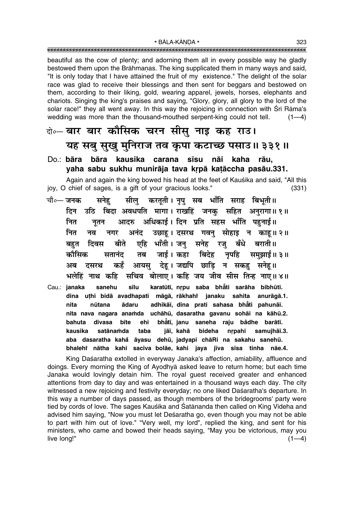beautiful as the cow of plenty; and adorning them all in every possible way he gladly bestowed them upon the Brāhmanas. The king supplicated them in many ways and said. "It is only today that I have attained the fruit of my existence." The delight of the solar race was glad to receive their blessings and then sent for beggars and bestowed on them, according to their liking, gold, wearing apparel, jewels, horses, elephants and chariots. Singing the king's praises and saying, "Glory, glory, all glory to the lord of the solar race!" they all went away. In this way the rejoicing in connection with Srī Rāma's wedding was more than the thousand-mouthed serpent-king could not tell.  $(1-4)$ 

# के-बार बार कौसिक चरन सीसू नाइ कह राउ। यह सबु सुखु मुनिराज तव कृपा कटाच्छ पसाउ॥ ३३१॥

#### Do.: bāra bāra kausika carana sīsu nāi kaha rāu. yaha sabu sukhu munirāja tava krpā katāccha pasāu.331.

Again and again the king bowed his head at the feet of Kausika and said, "All this joy, O chief of sages, is a gift of your gracious looks."  $(331)$ 

- करतूती। नृपु सब भाँति सराह बिभूती॥ चौ०— जनक सनेह सील् उठि बिदा अवधपति मागा। राखहिं जनक सहित अनुरागा॥१॥ दिन आदरु अधिकाई। दिन प्रति सहस भाँति पहुनाई॥ नित नूतन उछाह। दसरथ गवन् सोहाइ न काह॥२॥ नित अनंद नव नगर एहि भाँती । जन् सनेह दिवस बीते रज् बँधे बराती ॥ बहत कौसिक नृपहि सतानंद तब जाई । कहा बिदेह समुझाई ॥ ३ ॥ देहू। जद्यपि छाड़ि न सकहु सनेहू॥ कहँ आयस् अब दसरथ सचिव बोलाए। कहि जय जीव सीस तिन्ह नाए॥४॥ भलेहिं नाथ कहि
- karatūtī, nrpu saba bhāti sarāha bibhūtī. Cau.: janaka sanehu sīlu dina uthi bidā avadhapati māgā, rākhahi janaku sahita anurāgā.1. adhikāī, dina prati sahasa bhāti pahunāī. nita ādaru nūtana nita nava nagara anamda uchāhū, dasaratha gavanu sohāi na kāhū.2. bhătī, janu saneha raju bådhe barātī. bahuta divasa bīte ehi satānamda taba jāī, kahā bideha nrpahi samujhāī.3. kausika aba dasaratha kahå āyasu dehū, jadyapi chāRi na sakahu sanehū. bhalehi nātha kahi saciva bolāe, kahi jaya jīva sīsa tinha nāe.4.

King Daśaratha extolled in everyway Janaka's affection, amiability, affluence and doings. Every morning the King of Ayodhya asked leave to return home; but each time Janaka would lovingly detain him. The royal quest received greater and enhanced attentions from day to day and was entertained in a thousand ways each day. The city witnessed a new rejoicing and festivity everyday; no one liked Daśaratha's departure. In this way a number of days passed, as though members of the bridegrooms' party were tied by cords of love. The sages Kauśika and Śatānanda then called on King Videha and advised him saying, "Now you must let Deśaratha go, even though you may not be able to part with him out of love." "Very well, my lord", replied the king, and sent for his ministers, who came and bowed their heads saying, "May you be victorious, may you live long!"  $(1-4)$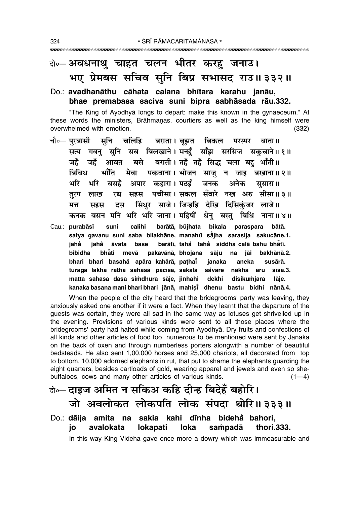# दो∘– अवधनाथु चाहत चलन भीतर करह जनाउ। भए प्रेमबस सचिव सूनि बिप्र सभासद राउ॥३३२॥

#### Do.: avadhanāthu cāhata calana bhītara karahu janāu, bhae premabasa saciva suni bipra sabhāsada rāu.332.

"The King of Ayodhya longs to depart: make this known in the gynaeceum." At these words the ministers, Brāhmanas, courtiers as well as the king himself were overwhelmed with emotion.  $(332)$ 

- चौ०— **परबासी सनि** चलिहि बराता। बझत बिकल परस्पर बाता ॥ सत्य गवनु सुनि सब बिलखाने।मनहुँ साँझ सरसिज सकुचाने॥१॥ बसे बराती। तहँ तहँ सिद्ध चला बह भाँती॥ जहँ जहँ आवत मेवा पकवाना। भोजन साज न जाड बखाना॥२॥ भाँति बिबिध भरि भरि बसहँ अपार कहारा। पठईं जनक अनेक सुसारा॥ रथ सहस पचीसा। सकल सँवारे नख अरु सीसा॥३॥ तरग लाख दस सिंधर साजे। जिन्हहि देखि दिसिकंजर लाजे॥ मत्त सहस कनक बसन मनि भरि भरि जाना। महिषीं धेनु बस्तु बिधि नाना॥४॥
- calihi barātā, būjhata bikala paraspara bātā. Cau.: purabāsī suni satya gavanu suni saba bilakhāne, manahů såjha sarasija sakucāne.1. barātī, tahå tahå siddha calā bahu bhātī. iahå iahå āvata base bibidha bhåti mevā pakavānā, bhojana sāju na iāi bakhānā.2. bhari bhari basahå apāra kahārā, paṭhaī janaka aneka susārā. turaga lākha ratha sahasa pacīsā, sakala såvāre nakha aru  $s\bar{s}$ ā.3. matta sahasa dasa simdhura sāje, jinhahi dekhi disikumjara lāje. kanaka basana mani bhari bhari jānā, mahisi dhenu bastu bidhi nānā.4.

When the people of the city heard that the bridegrooms' party was leaving, they anxiously asked one another if it were a fact. When they learnt that the departure of the guests was certain, they were all sad in the same way as lotuses get shrivelled up in the evening. Provisions of various kinds were sent to all those places where the bridegrooms' party had halted while coming from Ayodhya. Dry fruits and confections of all kinds and other articles of food too numerous to be mentioned were sent by Janaka on the back of oxen and through numberless porters alongwith a number of beautiful bedsteads. He also sent 1,00,000 horses and 25,000 chariots, all decorated from top to bottom, 10,000 adorned elephants in rut, that put to shame the elephants guarding the eight quarters, besides cartloads of gold, wearing apparel and jewels and even so shebuffaloes, cows and many other articles of various kinds.  $(1-4)$ 

# वे॰– दाइज अमित न सकिअ कहि दीन्ह बिदेहँ बहोरि। जो अवलोकत लोकपति लोक संपदा थोरि॥३३३॥

Do.: dāija amita na sakia kahi dīnha bidehå bahori, io avalokata **lokapati loka** sampadā thori.333. In this way King Videha gave once more a dowry which was immeasurable and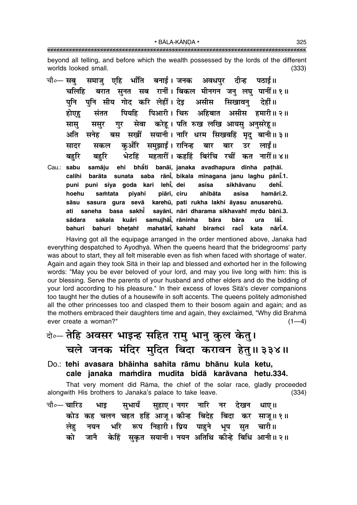\* BĀLA-KĀNDA \* 

beyond all telling, and before which the wealth possessed by the lords of the different worlds looked small.  $(333)$ 

समाज एहि भाँति बनाई।जनक अवधपर दीन्ह चौ०— सब पठाई ॥ बरात सुनत सब रानीं। बिकल मीनगन जनु लघु पानीं॥१॥ चलिहि पनि सीय गोद करि लेहीं। देइ असीस पनि सिखावन देहीं ॥ पियहि पिआरी। चिरु अहिबात होएह संतत असीस हमारी॥ २॥ सेवा करेहू। पति रुख लखि आयसु अनुसरेहु॥ सास ससर गर अति सनेह बस सखीं सयानी। नारि धरम सिखवहिं मद बानी॥३॥ कऔर समझाईं। रानिन्ह बार सादर सकल बार उर लाई ॥ भेटहिं महतारीं। कहहिं बिरंचि रचीं कत नारीं॥४॥ बहरि बहरि bhāti banāī, janaka avadhapura dīnha pathāī. Cau.: sabu samāju ehi sunata saba rāni, bikala mīnagana janu laghu pāni.1. calihi barāta puni sīya goda kari lehī, dei sikhāvanu dehi. puni asīsa samtata piyahi piārī, ciru ahibāta asīsa hamārī.2. hoehu sāsu sasura gura sevā karehū, pati rukha lakhi āyasu anusarehū. sayānī, nāri dharama sikhavahi mrdu bānī.3. ati saneha basa sakhi<sup>č</sup> samujhāi, rāninha lāŤ. sādara sakala kuåri **bāra** bāra ura mahatāri, kahahi biramci raci̇̃ nārī̃.4. bahuri bahuri bhetaht kata

Having got all the equipage arranged in the order mentioned above, Janaka had everything despatched to Ayodhyā. When the queens heard that the bridegrooms' party was about to start, they all felt miserable even as fish when faced with shortage of water. Again and again they took Sita in their lap and blessed and exhorted her in the following words: "May you be ever beloved of your lord, and may you live long with him: this is our blessing. Serve the parents of your husband and other elders and do the bidding of your lord according to his pleasure." In their excess of loves Sita's clever companions too taught her the duties of a housewife in soft accents. The queens politely admonished all the other princesses too and clasped them to their bosom again and again; and as the mothers embraced their daughters time and again, they exclaimed, "Why did Brahma ever create a woman?"  $(1-4)$ 

केन् तेहि अवसर भाइन्ह सहित रामु भानु कुल केतु। चले जनक मंदिर मुदित बिदा करावन हेतु॥३३४॥

Do.: tehi avasara bhāinha sahita rāmu bhānu kula ketu, cale janaka mamdira mudita bidā karāvana hetu.334.

That very moment did Rāma, the chief of the solar race, gladly proceeded alongwith His brothers to Janaka's palace to take leave.  $(334)$ 

चौ०— चारिउ सभायँ सहाए । नगर नारि नर देखन । भाड धाए ॥ कोउ कह चलन चहत हहिं आज् । कीन्ह बिदेह बिदा कर साज्॥१॥ भरि रूप निहारी। प्रिय पाहुने नयन भूप चारी॥ लेह सुत केहिं सुकृत सयानी । नयन अतिथि कीन्हे बिधि आनी ॥ २ ॥ को जानै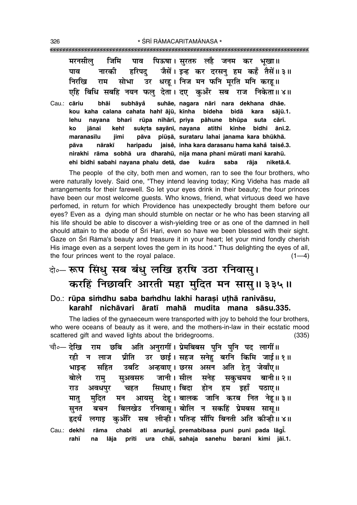|            |  | मरनसीलु जिमि पाव पिऊषा।सुरतरु लहै जनम कर भूखा॥                    |
|------------|--|-------------------------------------------------------------------|
| पाव        |  | नारकी हरिपदु जैसें।इन्ह कर दरसनु हम कहँ तैसें॥३॥                  |
|            |  | निरखि राम सोभा उर धरह।।निजं मन फनि मूरति मनि करह॥                 |
|            |  | एहि बिधि सबहि नयन फल् देता। दए कुअँर सब राज निकेता॥४॥             |
|            |  | Cau.: cāriu bhāi subhāyå suhāe, nagara nāri nara dekhana dhāe.    |
|            |  | kou kaha calana cahata hahi ājū, kīnha bideha bidā kara sājū.1.   |
|            |  | lehu nayana bhari rūpa nihārī, priya pāhune bhūpa suta cārī.      |
| ko         |  | jānai kehi sukrta sayānī, nayana atithi kīnhe bidhi ānī.2.        |
| maranasīlu |  | jimi pāva piūsā, surataru lahai janama kara bhūkhā.               |
|            |  | pāva nārakī haripadu jaisē, inha kara darasanu hama kahā taisē.3. |

nirakhi rāma sobhā ura dharahū, nija mana phani mūrati mani karahū.

kuåra

saba

rāja

niketā.4.

ehi bidhi sabahi nayana phalu detā, dae

The people of the city, both men and women, ran to see the four brothers, who were naturally lovely. Said one, "They intend leaving today; King Videha has made all arrangements for their farewell. So let your eyes drink in their beauty; the four princes have been our most welcome quests. Who knows, friend, what virtuous deed we have perfomed, in return for which Providence has unexpectedly brought them before our eyes? Even as a dying man should stumble on nectar or he who has been starving all his life should be able to discover a wish-yielding tree or as one of the damned in hell should attain to the abode of Sri Hari, even so have we been blessed with their sight. Gaze on Srī Rāma's beauty and treasure it in your heart; let your mind fondly cherish His image even as a serpent loves the gem in its hood." Thus delighting the eyes of all, the four princes went to the royal palace.  $(1-4)$ 

# बे- रूप सिंधु सब बंधु लखि हरषि उठा रनिवास् । करहिं निछावरि आरती महा मुदित मन सासु॥३३५॥

Do.: rūpa simdhu saba bamdhu lakhi harasi uthā ranivāsu, karahi nichāvari āratī mahā mudita mana sāsu.335.

The ladies of the gynaeceum were transported with joy to behold the four brothers, who were oceans of beauty as it were, and the mothers-in-law in their ecstatic mood scattered gift and waved lights about the bridegrooms.  $(335)$ 

राम छबि अति अनुरागीं।ऐप्रेमबिबस पनि पनि पद लागीं॥ चौ०— देखि रही न लाज प्रीति उर छाई। सहज सनेहु बरनि किमि जाई॥१॥ उबटि अन्हवाए। छरस असन अति हेतु जेवाँए॥ भाइन्ह सहित सुअवसरु जानी।सील सनेह सकुचमय बानी॥२॥ बोले राम् सिधाए। बिदा होन हम इहाँ पठाए॥ चहत राउ अवधपर आयस् देह। बालक जानि करब नित नेह॥३॥ मात मदित मन बिलखेउ रनिवास। बोलि न सकहिं प्रेमबस सास।। सनत बचन कअँरि सब लीन्ही। पतिन्ह सौंपि बिनती अति कीन्ही॥४॥ हृदयँ लगाड Cau.: dekhi rāma chabi ati anurāgi, premabibasa puni puni pada lāgi. prīti ura chāī, sahaja sanehu barani kimi jāī.1. rahī na lāja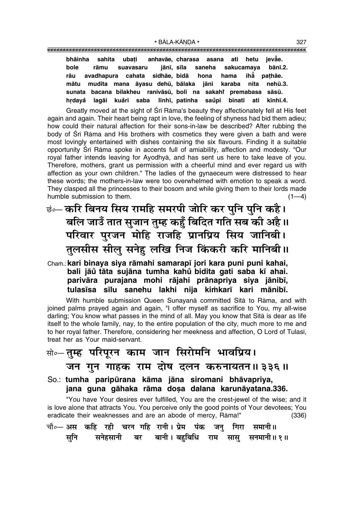|  | bhāinha sahita ubați anhavāe, charasa asana ati hetu jevae.      |  |  |  |
|--|------------------------------------------------------------------|--|--|--|
|  | bole rāmu suavasaru jānī, sīla saneha sakucamaya bānī.2.         |  |  |  |
|  | rāu avadhapura cahata sidhāe, bidā hona hama ihā pathāe.         |  |  |  |
|  | mātu mudita mana āyasu dehū, bālaka jāni karaba nita nehū.3.     |  |  |  |
|  | sunata bacana bilakheu ranivāsū, boli na sakahi premabasa sāsū.  |  |  |  |
|  | hrdayå lagāi kuåri saba līnhī, patinha saŭpi binatī ati kīnhī.4. |  |  |  |

Greatly moved at the sight of Śrī Rāma's beauty they affectionately fell at His feet again and again. Their heart being rapt in love, the feeling of shyness had bid them adieu; how could their natural affection for their sons-in-law be described? After rubbing the body of Śrī Rāma and His brothers with cosmetics they were given a bath and were most lovingly entertained with dishes containing the six flavours. Finding it a suitable opportunity Srī Rāma spoke in accents full of amiability, affection and modesty. "Our royal father intends leaving for Ayodhyå, and has sent us here to take leave of you. Therefore, mothers, grant us permission with a cheerful mind and ever regard us with affection as your own children." The ladies of the gynaeceum were distressed to hear these words; the mothers-in-law were too overwhelmed with emotion to speak a word. They clasped all the princesses to their bosom and while giving them to their lords made humble submission to them.  $(1-4)$ 

# <sub>छं०</sub>⊥ करि बिनय सिय रामहि समरपी जोरि कर पुनि पुनि कहै। 'बलि जाउँ तात सुजान तुम्ह कहुँ बिदित गति सब की अहै **॥** परिवार पुरजन मोहि राजहि प्रानप्रिय सिय जानिबी। तुलसीस सीलु सनेहु लखि निज किंकरी करि मानिबी ।।

#### Cha≈.:**kari binaya siya råmahi samarap∂ jori kara puni puni kahai, bali jåu° tåta sujåna tumha kahu° bidita gati saba k∂ ahai. parivåra purajana mohi råjahi prånapriya siya jånib∂,** tulasīsa sīlu sanehu lakhi nija kimkarī kari mānibī.

With humble submission Queen Sunayanā committed Sītā to Rāma, and with joined palms prayed again and again, "I offer myself as sacrifice to You, my all-wise darling; You know what passes in the mind of all. May you know that Sītā is dear as life itself to the whole family, nay, to the entire population of the city, much more to me and to her royal father. Therefore, considering her meekness and affection, O Lord of Tulasī, treat her as Your maid-servant.

### सो०**– तुम्ह परिपूरन काम जान सिरोमनि भावप्रिय।**

### जन**ागुन गाहक राम दोष दलन करुनायतन॥३३६॥**

#### So.: **tumha paripµurana kåma jåna siromani bhåvapriya, jana guna gåhaka råma do¶a dalana karunåyatana.336.**

"You have Your desires ever fulfilled, You are the crest-jewel of the wise; and it is love alone that attracts You. You perceive only the good points of Your devotees; You eradicate their weaknesses and are an abode of mercy, Råma!" (336)

चौ०— अस कहि रही चरन गहि रानी। प्रेम पंक जन गिरा समानी॥ सुनि सनेहसानी बर बानी। बहुबिधि राम सासु सनमानी॥ १॥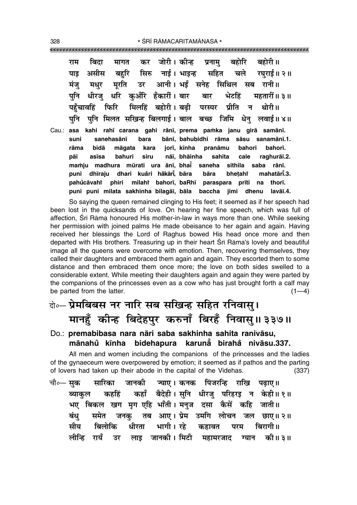कर जोरी। कीन्न बहोरी ॥ बिदा बद्रोरि राम मागत प्रनाम सहित असीस सिरु नाई। भाइन्ह पाड बहरि चले रघराई॥ २॥ मंज उर आनी। भर्डं सनेह सिथिल मरति मधर सब रानी॥ पनि धरि कअँरि हँकारीं। बार धीरज बार भेटहिं महतारीं॥ ३॥ फिरि मिलहिं बहोरी। बढी पहँचावहिं पीति न $\overline{a}$ थोरी॥ परम्पर पनि मिलत सखिन्ह बिलगाई। बाल बच्छ जिमि पनि धेन लवाई॥४॥ Cau.: asa kahi rahī carana gahi rānī, prema pamka janu girā samānī. bara bānī, bahubidhi rāma sāsu sanamānī.1. suni sanehasānī rāma bidā bahori bahorī. māgata kara jorī, kīnha pranāmu asīsa bahuri siru nāī. bhāinha raghurāī.2. pāi sahita cale mamju madhura mūrati ura ānī, bhai saneha sithila saba rānī. dhīraju dhari kuåri håkārī, bāra puni bāra bhetaht mahatārī.3. milahi bahori, baRhi paraspara pahůcāvahř phiri prīti na thorī. puni puni milata sakhinha bilagāi, bāla baccha jimi dhenu

So saying the queen remained clinging to His feet; it seemed as if her speech had been lost in the quicksands of love. On hearing her fine speech, which was full of affection, Srī Rāma honoured His mother-in-law in ways more than one. While seeking her permission with joined palms He made obeisance to her again and again. Having received her blessings the Lord of Raghus bowed His head once more and then departed with His brothers. Treasuring up in their heart Srī Rāma's lovely and beautiful image all the queens were overcome with emotion. Then, recovering themselves, they called their daughters and embraced them again and again. They escorted them to some distance and then embraced them once more; the love on both sides swelled to a considerable extent. While meeting their daughters again and again they were parted by the companions of the princesses even as a cow who has just brought forth a calf may be parted from the latter.  $(1-4)$ 

lavāī.4.

# बेन्ट प्रेमबिबस नर नारि सब सखिन्ह सहित रनिवासु। मानहुँ कीन्ह बिदेहपुर करुनाँ बिरहँ निवासु॥३३७॥

#### Do.: premabibasa nara nāri saba sakhinha sahita ranivāsu, mānahů kīnha bidehapura karunå birahå nivāsu.337.

All men and women including the companions of the princesses and the ladies of the gynaeceum were overpowered by emotion; it seemed as if pathos and the parting of lovers had taken up their abode in the capital of the Videhas.  $(337)$ 

चौ०— सक सारिका जानकी ज्याए। कनक पिंजरन्हि राखि पढाए॥ कहाँ बैदेही। सनि धीरज परिहरड न केही॥१॥ कहहिं ब्याकल भए बिकल खग मग एहि भाँती। मनज दसा कैसें कहि जाती॥ समेत तब आए। प्रेम उमगि लोचन बंध जनक जल छाए॥ २॥ ਸੀਹ भागी । रहे बिलोकि धीरता बिरागी।। कहावत परम लीन्हि रायँ लाइ जानकी। मिटी की॥ ३॥ उर महामरजाद ग्यान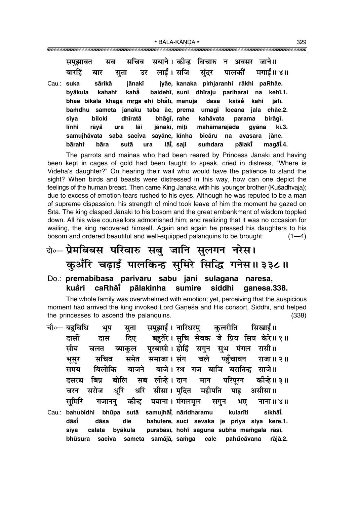| समुझावत सब सचिव सयाने।कोन्ह बिचारु न अवसर जाने॥<br>बारहिं बार सुता उर लाईं।सजि सुंदर पालकीं मगाईं॥४॥ |                           |                                              |          |
|------------------------------------------------------------------------------------------------------|---------------------------|----------------------------------------------|----------|
| sārikā<br>Cau.: suka                                                                                 |                           | jānakī jyāe, kanaka pimjaranhi rākhi paRhāe. |          |
| byākula kahahi kahā baidehī, suni dhīraju pariharai na kehī.1.                                       |                           |                                              |          |
| bhae bikala khaga mrga ehi bhằtī, manuja dasā kaise kahi                                             |                           |                                              | jātī.    |
| bamdhu sameta janaku taba āe, prema umagi locana jala chāe.2.                                        |                           |                                              |          |
| biloki dhīratā<br>sīya                                                                               |                           | bhāgī, rahe kahāvata parama birāgī.          |          |
| līnhi                                                                                                | rāyå ura lāi jānakī, miṭī | mahāmarajāda gyāna                           | kī.3.    |
| samujhāvata saba saciva sayāne, kīnha bicāru na avasara jāne.                                        |                           |                                              |          |
| bārahi<br>bāra<br>sutā                                                                               | lāi̇̃, saji<br>ura        | suṁdara pālakī̇̃                             | magāī.4. |

The parrots and mainas who had been reared by Princess Jānakī and having been kept in cages of gold had been taught to speak, cried in distress, "Where is Videha's daughter?" On hearing their wail who would have the patience to stand the sight? When birds and beasts were distressed in this way, how can one depict the feelings of the human breast. Then came King Janaka with his younger brother (Kuśadhvaja); due to excess of emotion tears rushed to his eyes. Although he was reputed to be a man of supreme dispassion, his strength of mind took leave of him the moment he gazed on Sita. The king clasped Janaki to his bosom and the great embankment of wisdom toppled down. All his wise counsellors admonished him; and realizing that it was no occasion for wailing, the king recovered himself. Again and again he pressed his daughters to his bosom and ordered beautiful and well-equipped palanquins to be brought.  $(1-4)$ 

# बे॰ प्रेमबिबस परिवारु सबु जानि सुलगन नरेस। कुअँरि चढ़ाईं पालकिन्ह सुमिरे सिद्धि गनेस॥३३८॥

Do.: premabibasa parivāru sabu jāni sulagana naresa, kuåri caRhāi pālakinha sumire siddhi qanesa.338.

The whole family was overwhelmed with emotion; yet, perceiving that the auspicious moment had arrived the king invoked Lord Ganeśa and His consort, Siddhi, and helped the princesses to ascend the palanguins.  $(338)$ 

| चौ०— बहुबिधि | भूप                                                       | सुता | समुझाईं। नारिधरमु कुलरीति सिखाईं॥           |  |  |         |
|--------------|-----------------------------------------------------------|------|---------------------------------------------|--|--|---------|
| दासीं        | दास                                                       |      | दिए बहुतेरे। सुचि सेवक जे प्रिय सिय केरे॥१॥ |  |  |         |
| सीय          | चलत                                                       |      | ब्याकुल पुरबासी। होहिं सगुन सुभ मंगल रासी॥  |  |  |         |
| भूसुर        | सचिव                                                      |      | समेत समाजा।संग चले पहुँचावन राजा॥२॥         |  |  |         |
| समय          | बिलोकि बाजने बाजे। रथ गज बाजि बरातिन्ह साजे॥              |      |                                             |  |  |         |
| दसरथ         | बिप्र बोलि सब लीन्हे।दान मान परिपूरन कीन्हे॥३॥            |      |                                             |  |  |         |
| चरन          | सरोज धूरि धरि सीसा।मुदित महीपति पाइ असीसा॥                |      |                                             |  |  |         |
|              | समिरि गजानन् कीन्ह पयाना। मंगलमूल सगुन भए नाना॥४॥         |      |                                             |  |  |         |
|              | Cau.: bahubidhi bhūpa sutā samujhāi, nāridharamu kularīti |      |                                             |  |  | sikhāi. |
| dāsī         | dāsa                                                      | die  | bahutere, suci sevaka je priya siya kere.1. |  |  |         |
| sīya         | calata byākula purabāsī, hohi saguna subha mamgala rāsī.  |      |                                             |  |  |         |
| bhūsura      |                                                           |      | saciva sameta samājā, samga cale pahůcāvana |  |  | rājā.2. |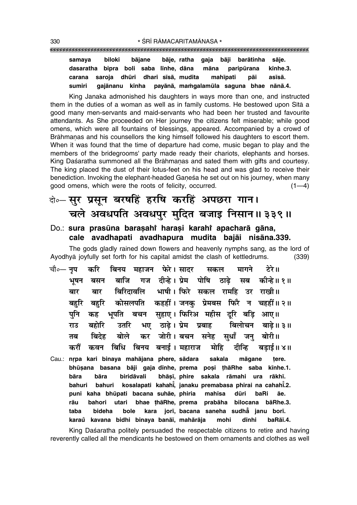#### 

samaya biloki bājane bāje, ratha gaja bāji barātinha sāje. dasaratha bipra boli saba līnhe, dāna kīnhe.3. māna paripūrana saroja dhūri dhari sīsā, mudita carana mahīpati asīsā. pāi gajānanu kīnha sumiri payānā, mamgalamūla saguna bhae nānā.4.

King Janaka admonished his daughters in ways more than one, and instructed them in the duties of a woman as well as in family customs. He bestowed upon Sita a good many men-servants and maid-servants who had been her trusted and favourite attendants. As She proceeded on Her journey the citizens felt miserable: while good omens, which were all fountains of blessings, appeared. Accompanied by a crowd of Brāhmanas and his counsellors the king himself followed his daughters to escort them. When it was found that the time of departure had come, music began to play and the members of the bridegrooms' party made ready their chariots, elephants and horses. King Daśaratha summoned all the Brāhmanas and sated them with gifts and courtesy. The king placed the dust of their lotus-feet on his head and was glad to receive their benediction. Invoking the elephant-headed Ganesa he set out on his journey, when many good omens, which were the roots of felicity, occurred.  $(1-4)$ 

# बे-सुर प्रसून बरषहिं हरषि करहिं अपछरा गान। चले अवधपति अवधपुर मुदित बजाइ निसान॥३३९॥

#### Do.: sura prasūna barasahi harasi karahi apacharā gāna, cale avadhapati avadhapura mudita bajāi nisāna.339.

The gods gladly rained down flowers and heavenly nymphs sang, as the lord of Ayodhya joyfully set forth for his capital amidst the clash of kettledrums.  $(339)$ 

- चौ०— नृप बिनय महाजन फेरे।सादर करि मागने टेरे ॥ सकल गज दीन्हे। प्रेम पोषि भषन बाजि ठाढे सब कोन्हे॥ १॥ बसन बिरिदावलि भाषी। फिरे सकल रामहि उर राखी॥ बार बार कोसलपति कहहीं। जनक प्रेमबस फिरै न चहहीं॥२॥ बहरि बहरि पनि ्भपति बचन सहाए। फिरिअ महीस दरि बडि आए॥ कह उतरि भए ठाढ़े। प्रेम प्रबाह बहोरि बिलोचन राउ बाढे ॥ ३ ॥ कर जोरी।बचन सनेह बिदेह बोले सधाँ बोरी॥ जन तब करौं कवन बिधि बिनय बनाई। महाराज मोहि दीन्हि बडाई॥ ४॥
- Cau.: nrpa kari binaya mahājana phere, sādara sakala māgane tere. bhūsana basana bāji gaja dīnhe, prema posi thāRhe saba kīnhe.1. bhāsī, phire sakala rāmahi ura rākhī. bāra biridāvali bāra bahuri bahuri kosalapati kahahi, janaku premabasa phirai na cahahi.2. puni kaha bhūpati bacana suhāe, phiria mahīsa dūri baRi āe. rāu bahori utari bhae thāRhe, prema prabāha bilocana bāRhe.3. bideha kara jorī, bacana saneha sudha janu borī. taba bole karaŭ kavana bidhi binaya banāī, mahārāja mohi dīnhi baRāī.4.

King Daśaratha politely persuaded the respectable citizens to retire and having reverently called all the mendicants he bestowed on them ornaments and clothes as well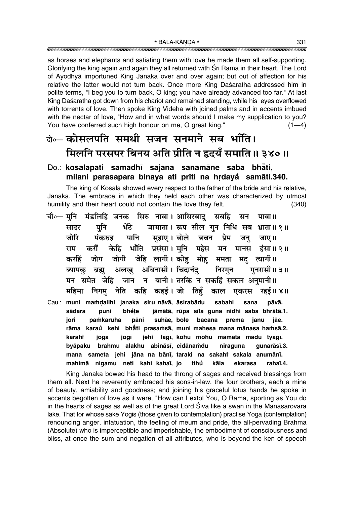as horses and elephants and satiating them with love he made them all self-supporting. Glorifying the king again and again they all returned with Srī Rāma in their heart. The Lord of Ayodhyā importuned King Janaka over and over again; but out of affection for his relative the latter would not turn back. Once more King Daśaratha addressed him in polite terms, "I beg you to turn back, O king; you have already advanced too far." At last King Daśaratha got down from his chariot and remained standing, while his eyes overflowed with torrents of love. Then spoke King Videha with joined palms and in accents imbued with the nectar of love, "How and in what words should I make my supplication to you? You have conferred such high honour on me, O great king."  $(1-4)$ 

# के- कोसलपति समधी सजन सनमाने सब भाँति। मिलनि परसपर बिनय अति प्रीति न हृदयँ समाति ॥ ३४० ॥

#### Do.: kosalapati samadhī sajana sanamāne saba bhāti, milani parasapara binaya ati prīti na hrdaya samāti.340.

The king of Kosala showed every respect to the father of the bride and his relative. Janaka. The embrace in which they held each other was characterized by utmost humility and their heart could not contain the love they felt.  $(340)$ 

- चौ∘— मुनि मंडलिहि जनक सिरु नावा। आसिरबाद् सबहि सन पावा॥ जामाता। रूप सील गुन निधि सब भ्राता॥१॥ भेंटे पनि सादर जोरि पानि सहाए। बोले बचन प्रेम पंकरुह जन जाए।। केहि भाँति प्रसंसा।मुनि महेस मन राम करौं मानस हंसा॥ २॥ जोगी जेहि लागी। कोह मोह ममता मद त्यागी।। जोग करहिं अबिनासी। चिदानंद ब्यापक ब्रह्म अलख निरगन गनरासी॥ ३॥ जान न बानी । तरकि न सकहिं सकल अनमानी ॥ मन समेत जेहि महिमा निगम् नेति कहि कहई।जो तिहँ काल एकरस रहर्ड ॥ ४ ॥
- Cau.: muni mamdalihi janaka siru nāvā, āsirabādu sabahi sana pāvā. sādara jāmātā, rūpa sīla guna nidhi saba bhrātā.1. puni bhěte jori pamkaruha pāni suhāe, bole bacana prema janu jāe. rāma karaŭ kehi bhāti prasamsā, muni mahesa mana mānasa hamsā.2. karahi joga jogī jehi lāgī, kohu mohu mamatā madu tyāgī. byāpaku brahmu alakhu abināsī, cidānamdu niraguna gunarāsī.3. mana sameta jehi jāna na bānī, taraki na sakahi sakala anumānī. mahimā nigamu neti kahi kahaī, jo tihů kāla ekarasa rahaī.4.

King Janaka bowed his head to the throng of sages and received blessings from them all. Next he reverently embraced his sons-in-law, the four brothers, each a mine of beauty, amiability and goodness; and joining his graceful lotus hands he spoke in accents begotten of love as it were, "How can I extol You, O Rāma, sporting as You do in the hearts of sages as well as of the great Lord Siva like a swan in the Mānasarovara lake. That for whose sake Yogis (those given to contemplation) practise Yoga (contemplation) renouncing anger, infatuation, the feeling of meum and pride, the all-pervading Brahma (Absolute) who is imperceptible and imperishable, the embodiment of consciousness and bliss, at once the sum and negation of all attributes, who is beyond the ken of speech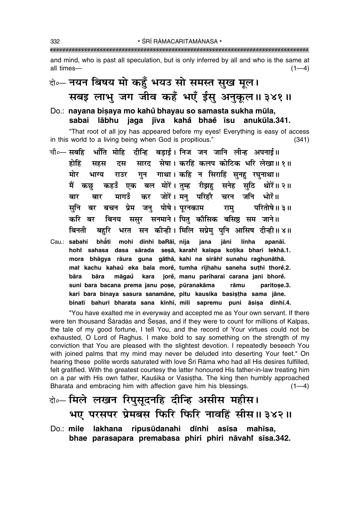and mind, who is past all speculation, but is only inferred by all and who is the same at all times- $(1-4)$ 

# वे॰ नयन बिषय मो कहँ भयउ सो समस्त सुख मूल। सबइ लाभू जग जीव कहँ भएँ ईसु अनुकुल॥३४१॥

#### Do.: nayana bisaya mo kahů bhayau so samasta sukha mūla, sabai lābhu jaga jīva kahå bhae īsu anukūla.341.

"That root of all joy has appeared before my eyes! Everything is easy of access in this world to a living being when God is propitious."  $(341)$ 

चौ०— सबहि भाँति मोहि दीन्हि बडाई। निज जन जानि लीन्ह अपनाई॥ दस सारद सेषा। करहिं कलप कोटिक भरि लेखा॥१॥ होहिं सहस राउर गुन गाथा। कहि न सिराहिं सुनहु रघुनाथा॥ मोर भाग्य कहउँ एक बल मोरें। तुम्ह रीझह सनेह सुठि मैं कछ थोरें॥ २॥ मागउँ कर जोरें। मन परिहरै चरन जनि भोरें॥ बार बार बर बचन प्रेम जन पोषे। परनकाम सनि परितोषे॥ ३॥ राम बिनय ससर सनमाने। पित कौसिक बसिष्ठ सम जाने॥ करि बर बहरि भरत सन कीन्ही। मिलि सप्रेम् पनि आसिष दीन्ही॥४॥ बिनती Cau.: sabahi bhåti mohi dīnhi baRāī, nija jana jāni līnha apanāī. hohi sahasa dasa sārada sesā, karahi kalapa kotika bhari lekhā.1. mora bhāgya rāura guna gāthā, kahi na sirāhi sunahu raghunāthā. mai kachu kahaů eka bala morě, tumha rījhahu saneha suthi thorě.2. jorė, manu pariharai carana jani bhorė. bāra bāra māgaů kara suni bara bacana prema janu poșe, pūranakāma paritose.3. rāmu kari bara binaya sasura sanamāne, pitu kausika basistha sama jāne. binatī bahuri bharata sana kīnhī, mili sapremu puni āsisa dīnhī.4.

"You have exalted me in everyway and accepted me as Your own servant. If there were ten thousand Saradas and Sesas, and if they were to count for millions of Kalpas, the tale of my good fortune, I tell You, and the record of Your virtues could not be exhausted, O Lord of Raghus. I make bold to say something on the strength of my conviction that You are pleased with the slightest devotion. I repeatedly beseech You with joined palms that my mind may never be deluded into deserting Your feet." On hearing these polite words saturated with love Srī Rāma who had all His desires fulfilled, felt gratified. With the greatest courtesy the latter honoured His father-in-law treating him on a par with His own father, Kauśika or Vasistha. The king then humbly approached Bharata and embracing him with affection gave him his blessings.  $(1-4)$ 

# बे॰- मिले लखन रिपुसूदनहि दीन्हि असीस महीस। भए परसपर प्रेमबस फिरि फिरि नावहिं सीस॥३४२॥

 $Do:$  mile lakhana ripusūdanahi dīnhi asīsa mahīsa. bhae parasapara premabasa phiri phiri nāvahi sīsa.342.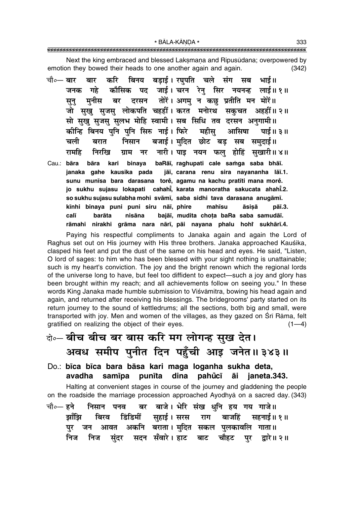Next the king embraced and blessed Laksmana and Ripusudana; overpowered by emotion they bowed their heads to one another again and again.  $(342)$ 

- बिनय बडाई। रघुपति चले संग सब भाई॥ चौ∘— बार करि बार पद जाई। चरन रेनु सिर नयनन्ह लाई॥१॥ जनक गहे कौसिक दरसन तोरें। अगमु न कछु प्रतीति मन मोरें॥ मनीस बर सून् जो सुखु सुजसु लोकपति चहहीं। करत मनोरथ सकुचत अहहीं॥२॥ सो सुखु सुजसु सुलभ मोहि स्वामी। सब सिधि तव दरसन अनुगामी॥ कीन्हि बिनय पुनि पुनि सिरु नाई। फिरे महीसु आसिषा पाई ॥ ३ ॥ बजाई। मुदित छोट बड सब समुदाई॥ निसान चली बरात रामहि निररिव नारी। पाइ नयन फल होहिं सखारी॥४॥ ग्राम नर
- Cau.: bāra kari binaya baRāī, raghupati cale samga saba bhāī. bāra janaka gahe kausika pada jāi, carana renu sira navananha lāi.1. sunu munīsa bara darasana torė, agamu na kachu pratīti mana morė. jo sukhu sujasu lokapati cahahi, karata manoratha sakucata ahahi.2. so sukhu sujasu sulabha mohi svāmī, saba sidhi tava darasana anugāmī. mahīsu kīnhi binaya puni puni siru nāī, phire āsisā pāī.3. calī barāta nisāna bajāī, mudita chota baRa saba samudāī. rāmahi nirakhi grāma nara nārī, pāi nayana phalu hohi sukhārī.4.

Paying his respectful compliments to Janaka again and again the Lord of Raghus set out on His journey with His three brothers. Janaka approached Kauśika, clasped his feet and put the dust of the same on his head and eyes. He said, "Listen, O lord of sages: to him who has been blessed with your sight nothing is unattainable; such is my heart's conviction. The joy and the bright renown which the regional lords of the universe long to have, but feel too diffident to expect—such a joy and glory has been brought within my reach; and all achievements follow on seeing you." In these words King Janaka made humble submission to Viśvāmitra, bowing his head again and again, and returned after receiving his blessings. The bridegrooms' party started on its return journey to the sound of kettledrums; all the sections, both big and small, were transported with joy. Men and women of the villages, as they gazed on Srī Rāma, felt gratified on realizing the object of their eyes.  $(1-4)$ 

- के-बीच बीच बर बास करि मग लोगन्ह सुख देत। अवध समीप पुनीत दिन पहुँची आइ जनेत॥३४३॥
- Do.: bīca bīca bara bāsa kari maga loganha sukha deta, avadha samīpa punīta dina pahůcī āi janeta.343.

Halting at convenient stages in course of the journey and gladdening the people on the roadside the marriage procession approached Ayodhya on a sacred day. (343)

बर बाजे। भेरि संख धनि हय गय गाजे॥ चौ०— हने निसान पनव राग डिंडिमीं सुहाई । सरस बाजहिं झाँझि बिरव सहनाई॥ १॥ अकनि बराता। मुदित सकल पुलकावलि गाता॥ पर जन आवत निज सदन सँवारे। हाट बाट चौहट पर द्वारे॥ २॥ निज संदर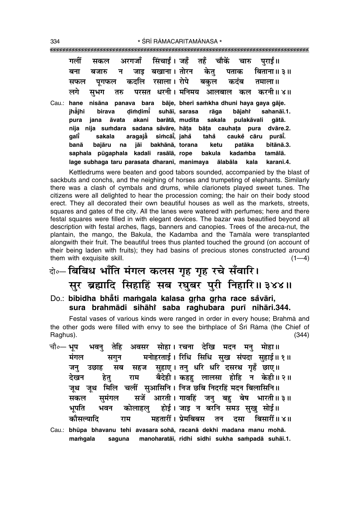|       | गलीं                                                      |        |  | सकल अरगजाँ सिंचाईं।जहँ तहँ चौकें चारु पराईं॥                                                                                                                                                                                                                                                                                                                                                                      |  |                           |                                                           |  |
|-------|-----------------------------------------------------------|--------|--|-------------------------------------------------------------------------------------------------------------------------------------------------------------------------------------------------------------------------------------------------------------------------------------------------------------------------------------------------------------------------------------------------------------------|--|---------------------------|-----------------------------------------------------------|--|
|       | बना                                                       |        |  | बजारु न जाइ बखाना। तोरन केतु पताक बिताना॥३॥                                                                                                                                                                                                                                                                                                                                                                       |  |                           |                                                           |  |
|       | सफल                                                       |        |  | पूगफल कदलि रसाला। रोपे बकुल कदंब तमाला॥                                                                                                                                                                                                                                                                                                                                                                           |  |                           |                                                           |  |
|       |                                                           |        |  | लगे सुभग तरु परसत धरनी।मनिमय आलबाल कल करनी॥४॥                                                                                                                                                                                                                                                                                                                                                                     |  |                           |                                                           |  |
| Cau.: | hane<br>jhājhi<br>pura<br>nija<br>galĭ<br>banā<br>saphala | bajāru |  | nisāna panava bara bāje, bheri samkha dhuni haya gaya gāje.<br>birava dimdimi̇̃ suhāī, sarasa rāga bājahi<br>jana āvata akani barātā, mudita sakala pulakāvali gātā.<br>nija sumdara sadana såvāre, hāta bāta cauhata pura dvāre.2.<br>sakala aragajă simcāi, jahå tahå cauke cāru<br>na jāi bakhānā, torana ketu<br>pūgaphala kadali rasālā, rope bakula<br>lage subhaga taru parasata dharanī, manimaya ālabāla |  | patāka<br>kadamba<br>kala | sahanāī.1.<br>purāī.<br>bitānā.3.<br>tamālā.<br>karanī.4. |  |

Kettledrums were beaten and good tabors sounded, accompanied by the blast of sackbuts and conchs, and the neighing of horses and trumpeting of elephants. Similarly there was a clash of cymbals and drums, while clarionets played sweet tunes. The citizens were all delighted to hear the procession coming; the hair on their body stood erect. They all decorated their own beautiful houses as well as the markets, streets, squares and gates of the city. All the lanes were watered with perfumes; here and there festal squares were filled in with elegant devices. The bazar was beautified beyond all description with festal arches, flags, banners and canopies. Trees of the areca-nut, the plantain, the mango, the Bakula, the Kadamba and the Tamala were transplanted alongwith their fruit. The beautiful trees thus planted touched the ground (on account of their being laden with fruits); they had basins of precious stones constructed around them with exquisite skill.  $(1-4)$ 

# बे- बिबिध भाँति मंगल कलस गृह गृह रचे सँवारि। सुर ब्रह्मादि सिहाहिं सब रघुबर पुरी निहारि॥३४४॥

Do.: bibidha bhåti mamgala kalasa grha grha race såvāri, sura brahmādi sihāhi saba raghubara purī nihāri.344.

Festal vases of various kinds were ranged in order in every house; Brahmā and the other gods were filled with envy to see the birthplace of Sri Rama (the Chief of Raghus).  $(344)$ 

- अवसर सोहा। रचना देखि मदन मनु मोहा॥ तेहि चौ०— **भुप** भवन मनोहरताई। रिधि सिधि सुख संपदा सुहाई॥ १॥ मंगल सगुन सब सहज सहाए। तन धरि धरि दसरथ गहँ छाए॥ जन उछाह बैदेही। कहह लालसा होहि न केही॥२॥ हेतू देखन राम जुथ जुथ मिलि चलीं सुआसिनि। निज छबि निदरहिं मदन बिलासिनि॥ सजें आरती। गावहिं जनु बहु बेष भारती॥३॥ सकल समंगल होई। जाइ न बरनि समउ सुखु सोई॥ भपति कोलाहल भवन कौसल्यादि महतारीं । प्रेमबिबस तन बिसारीं ॥ ४ ॥ राम दसा
- Cau.: bhūpa bhavanu tehi avasara sohā, racanā dekhi madana manu mohā. mamgala saguna manoharatāi, ridhi sidhi sukha sampadā suhāi.1.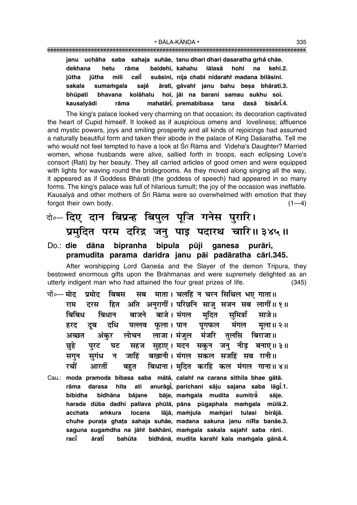| janu uchāha saba sahaja suhāe, tanu dhari dhari dasaratha grhå chāe. |                                                               |
|----------------------------------------------------------------------|---------------------------------------------------------------|
| rāma<br>hetu<br>dekhana                                              | baidehī, kahahu lālasā hohi na kehī.2.                        |
| jūtha                                                                | jūtha mili cali suāsini, nija chabi nidarahi madana bilāsini. |
| sakala                                                               | sumamgala saje āratī, gāvahi janu bahu besa bhāratī.3.        |
| bhūpati                                                              | bhavana kolāhalu hoī, jāi na barani samau sukhu soī.          |
| kausalyādi rāma                                                      | mahatāri, premabibasa tana dasā bisāri.4.                     |

The king's palace looked very charming on that occasion; its decoration captivated the heart of Cupid himself. It looked as if auspicious omens and loveliness; affluence and mystic powers, joys and smiling prosperity and all kinds of rejoicings had assumed a naturally beautiful form and taken their abode in the palace of King Dasaratha. Tell me who would not feel tempted to have a look at Śrī Rāma and Videha's Daughter? Married women, whose husbands were alive, sallied forth in troops, each eclipsing Love's consort (Rati) by her beauty. They all carried articles of good omen and were equipped with lights for waving round the bridegrooms. As they moved along singing all the way, it appeared as if Goddess Bhāratī (the goddess of speech) had appeared in so many forms. The king's palace was full of hilarious tumult; the joy of the occasion was ineffable. Kausalyā and other mothers of Śrī Rāma were so overwhelmed with emotion that they forgot their own body.  $(1-4)$ 

# दो**० दिए दान बिप्रन्ह बिपुल पूजि गनेस पुरारि।** प्रमुदित परम दरिद्र जन् पाइ पदारथ चारि॥३४५॥

#### Do.: die dāna bipranha bipula pūji ganesa purāri, **pramudita parama daridra janu påi padåratha cåri.345.**

After worshipping Lord Ganesa and the Slayer of the demon Tripura, they bestowed enormous gifts upon the Brāhmanas and were supremely delighted as an utterly indigent man who had attained the four great prizes of life. (345)

- चौ०— मोद प्रमोद बिबस सब माता। चलहिं न चरन सिथिल भए गाता॥ **राम दरस हित अति अनुरागीं। परिछनि साजु** सजन सब लागीं॥१॥ <u>बिबिध बिधान बाजने बाजे।मंगल मदित समित्राँ साजे॥</u> हरद दूब दधि पल्लव फूला।**पान प्**राफल मंगल मुला॥२॥ <u>अच्छत अंकर लोचन लाजा।मंजुल मंजरि तु</u>लसि बिराजा॥ <u>छ</u>्हे पुरट घट सहज सुहाए । मदन सकुन जनु नीड़ बनाए ॥ ३॥ सगुन सुगंध न जाहिं बखानी। मंगल सकल सजहिं सब रानी॥ **रचीं आरतीं बहुत बिधाना।**मुदित करहिं कल मंगल गाना॥४॥
- Cau.: **moda pramoda bibasa saba måtå, calahiÚ na carana sithila bhae gåtå. råma darasa hita ati anuråg∂° , parichani såju sajana saba låg∂° .1. bibidha bidhåna båjane båje, ma≈gala mudita sumitrå° såje.** harada dūba dadhi pallava phūlā, pāna pūgaphala mamgala mūlā.2. **acchata a≈kura locana låjå, ma≈jula ma≈jari tulasi biråjå. chuhe pura¢a gha¢a sahaja suhåe, madana sakuna janu n∂Ra banåe.3. saguna suga≈dha na jåhiÚ bakhån∂, ma≈gala sakala sajahiÚ saba rån∂. rac∂° årat∂° bahµuta bidhånå, mudita karahiÚ kala ma≈gala gånå.4.**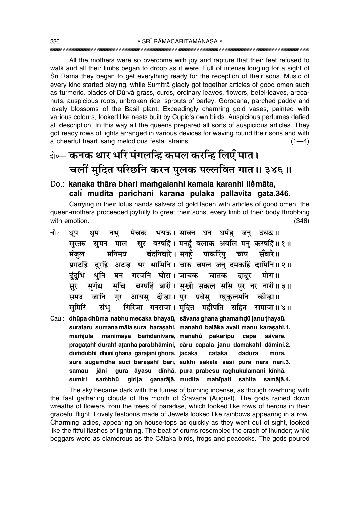All the mothers were so overcome with joy and rapture that their feet refused to walk and all their limbs began to droop as it were. Full of intense longing for a sight of Srī Rāma they began to get everything ready for the reception of their sons. Music of every kind started playing, while Sumitrå gladly got together articles of good omen such as turmeric, blades of Dūrvā grass, curds, ordinary leaves, flowers, betel-leaves, arecanuts, auspicious roots, unbroken rice, sprouts of barley, Gorocana, parched paddy and lovely blossoms of the Basil plant. Exceedingly charming gold vases, painted with various colours, looked like nests built by Cupid's own birds. Auspicious perfumes defied all description. In this way all the queens prepared all sorts of auspicious articles. They got ready rows of lights arranged in various devices for waving round their sons and with a cheerful heart sang melodious festal strains.  $(1-4)$ 

# दो∘— **कनक थार भरि मंगलन्हि कमल करन्हि लिएँ मात।** <u>चलीं मुदित परिछनि करन पुलक पल्लवित गात॥ ३४६॥</u>

#### Do.: kanaka thāra bhari mamgalanhi kamala karanhi liemāta, **cal∂° mudita parichani karana pulaka pallavita gåta.346.**

Carrying in their lotus hands salvers of gold laden with articles of good omen, the queen-mothers proceeded joyfully to greet their sons, every limb of their body throbbing with emotion. (346)

| चौ∘— धप |         | धम   |        | नभु मेचक भयऊ।सावन घन घमंडु जनु ठयऊ॥                 |  |        |                                                                           |
|---------|---------|------|--------|-----------------------------------------------------|--|--------|---------------------------------------------------------------------------|
|         | सुरतरु  |      |        |                                                     |  |        | सुमन माल सुर बरषहिं। मनहुँ बलाक अवलि मनु करषहिं॥१॥                        |
|         | मंजुल   |      |        | मनिमय बंदनिवारे। मनहुँ पाकरिपु चाप सँवारे॥          |  |        |                                                                           |
|         |         |      |        |                                                     |  |        | प्रगटहिं दुरहिं अटन्ह पर भामिनि। चारु चपल जनु दमकहिं दामिनि॥२॥            |
|         | दुंदुभि |      |        | धुनि घन गरजनि घोरा।जाचक चातक दादुर मोरा॥            |  |        |                                                                           |
|         | सूर     |      |        |                                                     |  |        | सुगंध सुचि बरषहिं बारी। सुखी सकल ससि पुर नर नारी॥३॥                       |
|         | समउ     |      |        | जानि गुर आयसु दीन्हा। पुर प्रबेसु रघुकुलमनि कीन्हा॥ |  |        |                                                                           |
|         | समिरि   |      |        |                                                     |  |        | संभु गिरिजा गनराजा। मुदित महीपति सहित समाजा॥४॥                            |
|         |         |      |        |                                                     |  |        | Cau.: dhūpa dhūma nabhu mecaka bhayaū, sāvana ghana ghamamdū janu thayaū. |
|         |         |      |        |                                                     |  |        | surataru sumana māla sura barasahi, manahu balāka avali manu karasahi.1.  |
|         | maṁjula |      |        | manimaya bamdanivāre, manahů pākaripu cāpa          |  |        | såvāre.                                                                   |
|         |         |      |        |                                                     |  |        | pragatahi durahi atanha para bhāmini, cāru capala janu damakahi dāmini.2. |
|         |         |      |        | dumdubhi dhuni ghana garajani ghorā, jācaka cātaka  |  | dādura | morā.                                                                     |
|         |         |      |        |                                                     |  |        | sura sugamdha suci baraşahî bārī, sukhī sakala sasi pura nara nārī.3.     |
|         | samau   | jāni |        |                                                     |  |        | gura āyasu dīnhā, pura prabesu raghukulamani kīnhā.                       |
|         | sumiri  |      | saṁbhū | girija ganarājā, mudita mahīpati sahita             |  |        | samājā.4.                                                                 |

The sky became dark with the fumes of burning incense, as though overhung with the fast gathering clouds of the month of Sravana (August). The gods rained down wreaths of flowers from the trees of paradise, which looked like rows of herons in their graceful flight. Lovely festoons made of Jewels looked like rainbows appearing in a row. Charming ladies, appearing on house-tops as quickly as they went out of sight, looked like the fitful flashes of lightning. The beat of drums resembled the crash of thunder; while beggars were as clamorous as the Cåtaka birds, frogs and peacocks. The gods poured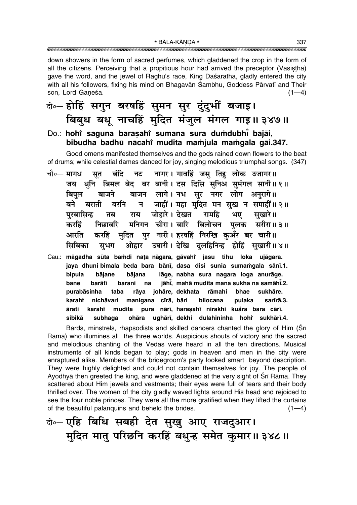down showers in the form of sacred perfumes, which gladdened the crop in the form of all the citizens. Perceiving that a propitious hour had arrived the preceptor (Vasistha) gave the word, and the jewel of Raghu's race, King Daśaratha, gladly entered the city with all his followers, fixing his mind on Bhagavān Śambhu, Goddess Pārvatī and Their son, Lord Ganeśa.  $(1-4)$ 

- बे-होहिं सगुन बरषहिं सूमन सूर दुंदुभीं बजाइ। बिबुध बधु नाचहिं मुदित मंजुल मंगल गाइ॥ ३४७॥ Do.: hohi saguna barasahi sumana sura dumdubhi bajāi,
- bibudha badhū nācahi mudita mamjula mamgala gāi.347.

Good omens manifested themselves and the gods rained down flowers to the beat of drums; while celestial dames danced for joy, singing melodious triumphal songs. (347)

- नट नागर। गावहिं जस तिह लोक उजागर॥ चौ०— मागध सत बंदि धुनि बिमल बेद बर बानी। दस दिसि सुनिअ सुमंगल सानी॥१॥ जय बाजन लागे। नभ सुर नगर लोग अनुरागे॥ बाजने बिपल न जाहीं। महा मुदित मन सुख न समाहीं॥ २॥ बने बराती बरनि परबासिन्ह राय जोहारे । देखत रामहि भए सखारे॥ तब मनिगन चीरा। बारि बिलोचन पलक सरीरा॥३॥ करहिं निछावरि मुदित पुर नारी। हरषहिं निरखि कुअँर बर चारी॥ आरति करहिं ओहार उघारी। देखि दुलहिनिन्ह होहिं सुखारी॥४॥ सिबिका सुभग
- Cau.: māgadha sūta bamdi nata nāgara, gāvahi jasu tihu loka ujāgara. jaya dhuni bimala beda bara bānī, dasa disi sunia sumamgala sānī.1. bipula bājane bājana lāge, nabha sura nagara loga anurāge. barātī jāhi, mahā mudita mana sukha na samāhi.2. bane barani na purabāsinha rāya johāre, dekhata rāmahi bhae sukhāre. taba nichāvari manigana cīrā, bāri bilocana pulaka sarīrā.3. karahi ārati mudita pura nārī, harasahi nirakhi kuåra bara cārī. karahi sibikā subhaga ohāra ughārī, dekhi dulahininha hohr sukhārī.4.

Bards, minstrels, rhapsodists and skilled dancers chanted the glory of Him (Srī Rāma) who illumines all the three worlds. Auspicious shouts of victory and the sacred and melodious chanting of the Vedas were heard in all the ten directions. Musical instruments of all kinds began to play; gods in heaven and men in the city were enraptured alike. Members of the bridegroom's party looked smart beyond description. They were highly delighted and could not contain themselves for joy. The people of Ayodhyā then greeted the king, and were gladdened at the very sight of Srī Rāma. They scattered about Him jewels and vestments; their eyes were full of tears and their body thrilled over. The women of the city gladly waved lights around His head and rejoiced to see the four noble princes. They were all the more gratified when they lifted the curtains of the beautiful palanquins and beheld the brides.  $(1-4)$ 

बे-एहि बिधि सबही देत सुखु आए राजदुआर। मुदित मातु परिछनि करहिं बधुन्ह समेत कुमार॥ ३४८॥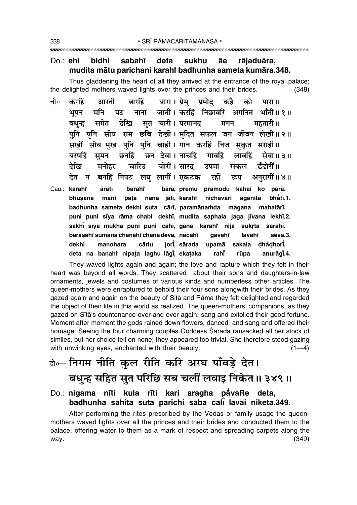#### $Do:$   $ehi$ bidhi sabahī deta sukhu āe rājaduāra, mudita mātu parichani karahi badhunha sameta kumāra.348.

Thus gladdening the heart of all they arrived at the entrance of the royal palace; the delighted mothers waved lights over the princes and their brides.  $(348)$ 

चौ०— करहिं बारा। प्रेम प्रमोद आरती बारहिं कहै को पारा ॥ जाती। करहिं निछावरि अगनित भाँती॥१॥ भूषन मनि पट नाना सत चारी। परमानंद समेत देखि महतारी ॥ बधन्न मगन पनि पनि सीय राम छबि देखी। मदित सफल जग जीवन लेखी॥२॥ सखीं सीय मुख पुनि पुनि चाही। गान करहिं निज सुकृत सराही॥ छन देवा । नाचहिं बरषहिं समन छनहिं गावहिं लावहिं सेवा॥ ३॥ देखि मनोहर चारिउ जोरीं। सारद हँदोरीं ॥ उपमा सकल देत न बनहिं निपट लघु लागीं। एकटक रहीं अनरागीं॥ ४॥ रूप Cau.: karahî āratī bāraht bārā, premu pramodu kahai ko pārā. bhūsana mani pata nānā jātī, karahr nichāvari aganita bhåtī.1. badhunha sameta dekhi suta cārī, paramānamda magana mahatārī. puni puni sīya rāma chabi dekhī, mudita saphala jaga jīvana lekhī.2. sakhi sīya mukha puni puni cāhī, gāna karaht nija sukrta sarāhī. barasahi sumana chanahi chana devā, nācahi qāvahř lāvahř sevā.3. cāriu iori, sārada upamā dhådhort. dekhi manohara sakala deta na banahi nipata laghu lāgi, ekataka rūpa anurāgi.4. rahi

They waved lights again and again; the love and rapture which they felt in their heart was beyond all words. They scattered about their sons and daughters-in-law ornaments, jewels and costumes of various kinds and numberless other articles. The queen-mothers were enraptured to behold their four sons alongwith their brides. As they gazed again and again on the beauty of Sita and Rama they felt delighted and regarded the object of their life in this world as realized. The queen-mothers' companions, as they gazed on Sita's countenance over and over again, sang and extolled their good fortune. Moment after moment the gods rained down flowers, danced and sang and offered their homage. Seeing the four charming couples Goddess Śāradā ransacked all her stock of similes, but her choice fell on none; they appeared too trivial. She therefore stood gazing with unwinking eyes, enchanted with their beauty.  $(1-4)$ 

# बे॰- निगम नीति कुल रीति करि अरघ पाँवड़े देत। बधुन्ह सहित सुत परिछि सब चलीं लवाइ निकेत॥ ३४९॥

#### Do.: nigama nīti kula rīti kari aragha pāvaRe deta, badhunha sahita suta parichi saba cali lavāi niketa.349.

After performing the rites prescribed by the Vedas or family usage the queenmothers waved lights over all the princes and their brides and conducted them to the palace, offering water to them as a mark of respect and spreading carpets along the way.  $(349)$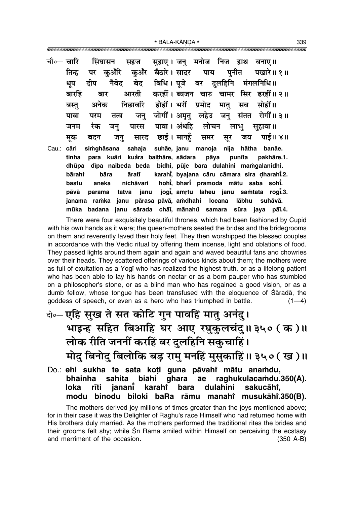\* BĀLA-KĀNDA \*

|       |        |      | चौ∘— चारि सिंघासन सहज सुहाए । जनु मनोज निज हाथ बनाए ॥ |  |  |                                                                 |  |
|-------|--------|------|-------------------------------------------------------|--|--|-----------------------------------------------------------------|--|
|       |        |      |                                                       |  |  | तिन्ह पर कुअँरि कुअँर बैठारे।सादर पाय पुनीत पखारे॥१॥            |  |
|       |        |      | धूप दीप नैबेद बेद बिधि।पूजे बर दुलहिनि मंगलनिधि॥      |  |  |                                                                 |  |
|       | बारहिं |      |                                                       |  |  | बार आरती करहीं।ब्यजन चारु चामर सिर ढरहीं॥२॥                     |  |
|       |        |      | बस्तु अनेक निछावरि होहीं। भरीं प्रमोद मात् सब सोहीं॥  |  |  |                                                                 |  |
|       |        |      |                                                       |  |  | पावा परम तत्व जनु जोगीं।अमृतु लहेउ जनु संतत रोगीं॥३॥            |  |
|       |        |      | जनम रंक जनु पारस पावा।अंधहि लोचन लाभु सुहावा॥         |  |  |                                                                 |  |
|       |        |      |                                                       |  |  | मूक बदन जनु सारद छाई।मानहुँ समर सूर जय पाई॥४॥                   |  |
| Cau.: | cāri   |      |                                                       |  |  | simghāsana sahaja suhāe, janu manoja nija hātha banāe.          |  |
|       | tinha  |      |                                                       |  |  | para kuåri kuåra baithāre, sādara pāya punīta pakhāre.1.        |  |
|       |        |      |                                                       |  |  | dhūpa dīpa naibeda beda bidhi, pūje bara dulahini mamgalanidhi. |  |
|       | bārahi | bāra |                                                       |  |  | āratī karahī, byajana cāru cāmara sira dharahī.2.               |  |
|       |        |      |                                                       |  |  | bastu aneka nichāvari hohī, bharī pramoda mātu saba sohī.       |  |
|       |        |      |                                                       |  |  | pāvā parama tatva janu jogi, amrtu laheu janu samtata rogi.3.   |  |
|       |        |      |                                                       |  |  | janama ramka janu pārasa pāvā, amdhahi locana lābhu suhāvā.     |  |
|       | mūka   |      |                                                       |  |  | badana janu sārada chāī, mānahů samara sūra jaya pāī.4.         |  |

There were four exquisitely beautiful thrones, which had been fashioned by Cupid with his own hands as it were; the queen-mothers seated the brides and the bridegrooms on them and reverently laved their holy feet. They then worshipped the blessed couples in accordance with the Vedic ritual by offering them incense, light and oblations of food. They passed lights around them again and again and waved beautiful fans and chowries over their heads. They scattered offerings of various kinds about them; the mothers were as full of exultation as a Yogī who has realized the highest truth, or as a lifelong patient who has been able to lay his hands on nectar or as a born pauper who has stumbled on a philosopher's stone, or as a blind man who has regained a good vision, or as a dumb fellow, whose tongue has been transfused with the eloquence of Sarada, the goddess of speech, or even as a hero who has triumphed in battle.  $(1-4)$ 

- बे॰- एहि सुख ते सत कोटि गुन पावहिं मातु अनंदु। भाइन्ह सहित बिआहि घर आए रघुकुलचंदु॥३५० (क)॥ लोक रीति जननीं करहिं बर दुलहिनि सकुचाहिं। मोदु बिनोदु बिलोकि बड़ रामु मनहिं मुसुकाहिं॥ ३५०(ख)॥
- Do.: ehi sukha te sata koți guna pāvahi mātu anamdu, bhainha sahita biāhi qhara āe raghukulacamdu.350(A). loka janani karahi bara dulahini sakucāhi, rīti binodu biloki baRa rāmu manahi musukāhi.350(B). modu

The mothers derived joy millions of times greater than the joys mentioned above; for in their case it was the Delighter of Raghu's race Himself who had returned home with His brothers duly married. As the mothers performed the traditional rites the brides and their grooms felt shy; while Srī Rāma smiled within Himself on perceiving the ecstasy and merriment of the occasion.  $(350 \text{ A-B})$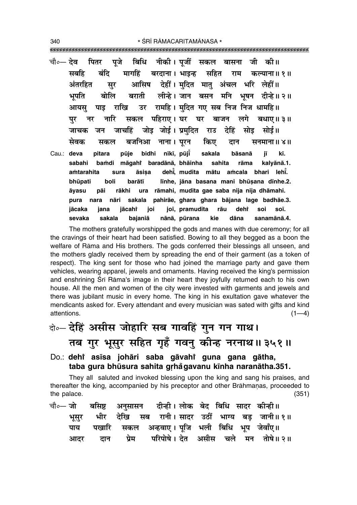- चौ०— देव नीकी। पजीं सकल पितर पजे बिधि जी की।। बासना सहित सबहि बंदि मार्गाहें बरदाना। भाइन्ह राम कल्याना॥ १॥ देहीं। मदित मात अंचल भरि लेहीं॥ अंतरहित आसिष सुर बोलि लीन्हे। जान बसन मनि भषन दीन्हे॥ २॥ बराती भपति रामहि। मंदित गए सब निज निज धामहि॥ आयस पाड राखि उर पहिराए। घर घर बाजन लगे पर नर नारि सकल बधाए। ३॥ जोड़ जोई। प्रमदित जाचहिं राउ देहिं सोड सोई॥ जाचक जन सेवक बजनिआ नाना। परन किए सनमाना ॥ ४ ॥ सकल दान
- bidhi nīkī, pūjī Cau.: deva pitara pūje sakala bāsanā iī kī. bamdi māgahi baradānā, bhāinha sabahi sahita rāma kalyānā.1. dehi, mudita mātu amcala bhari lehi. amtarahita sura āsisa līnhe, jāna basana mani bhūsana dīnhe.2. bhūpati boli barātī āyasu rākhi ura rāmahi, mudita gae saba nija nija dhāmahi. pāi pura nara nāri sakala pahirāe, ghara ghara bājana lage badhāe.3. jācaka jana jācaht ioi joī, pramudita rāu deht soi soī. nānā, pūrana kie dāna sevaka sakala bajaniā sanamānā.4.

The mothers gratefully worshipped the gods and manes with due ceremony; for all the cravings of their heart had been satisfied. Bowing to all they begged as a boon the welfare of Rāma and His brothers. The gods conferred their blessings all unseen, and the mothers gladly received them by spreading the end of their garment (as a token of respect). The king sent for those who had joined the marriage party and gave them vehicles, wearing apparel, jewels and ornaments. Having received the king's permission and enshrining Srī Rāma's image in their heart they joyfully returned each to his own house. All the men and women of the city were invested with garments and jewels and there was jubilant music in every home. The king in his exultation gave whatever the mendicants asked for. Every attendant and every musician was sated with gifts and kind attentions.  $(1-4)$ 

केन्टेहिं असीस जोहारि सब गावहिं गुन गन गाथ। तब गुर भूसुर सहित गुहूँ गवनु कीन्ह नरनाथ॥३५१॥

#### Do.: dehi asīsa johāri saba gāvahi guna gana gātha, taba gura bhūsura sahita grhẳgavanu kīnha naranātha.351.

They all saluted and invoked blessing upon the king and sang his praises, and thereafter the king, accompanied by his preceptor and other Brāhmanas, proceeded to the palace.  $(351)$ 

|  |  | चौ∘— जो     बसिष्ट    अनुसासन     दीन्ही । लोक   बेद   बिधि   सादर   कीन्ही ॥ |  |  |  |
|--|--|-------------------------------------------------------------------------------|--|--|--|
|  |  | भूसुर भीर देखि सब रानी।सादर उठीं भाग्य बड़ जानी॥१॥                            |  |  |  |
|  |  | पाय पखारि सकल अन्हवाए।पूजि भली बिधि भूप जेवाँए॥                               |  |  |  |
|  |  | आदर दान प्रेम परिपोषे।देत असीस चले मन तोषे॥२॥                                 |  |  |  |

340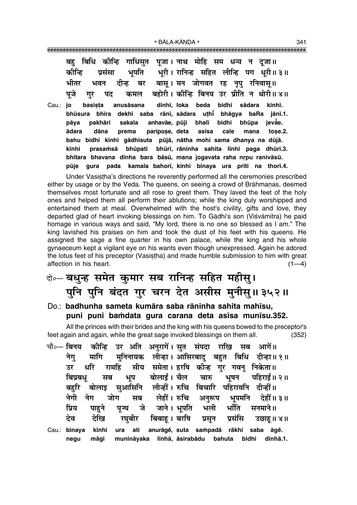\* BĀLA-KĀNDA \*

|                 | बिधि कीन्हि गाधिसुत पूजा। नाथ मोहि सम धन्य न दूजा॥<br>बह            |
|-----------------|---------------------------------------------------------------------|
|                 | प्रसंसा भूपति भूरी। रानिन्ह सहित लीन्हि पग धूरी॥ ३॥<br>कीन्हि       |
|                 | भीतर भवन दीन्ह बर बासू।मन जोगवत रह नृपु रनिवासू॥                    |
|                 | पुजे गुर पद कमल बहोरी।कोन्हि बिनय उर प्रीति न थोरी॥४॥               |
| Cau.: <b>jo</b> | basista anusāsana dīnhī, loka beda bidhi sādara kīnhī.              |
|                 | bhūsura bhīra dekhi saba rānī, sādara uthī bhāgya baRa jānī.1.      |
|                 | pakhāri sakala anhavāe, pūji bhalī bidhi bhūpa jevāe.<br>pāya       |
|                 | dāna prema paripose, deta asīsa cale mana tose.2.<br>ādara          |
|                 | bahu bidhi kīnhi gādhisuta pūjā, nātha mohi sama dhanya na dūjā.    |
|                 | prasamsā bhūpati bhūrī, rāninha sahita līnhi paga dhūrī.3.<br>kīnhi |
|                 | bhītara bhavana dīnha bara bāsū, mana jogavata raha nrpu ranivāsū.  |
|                 | gura pada kamala bahorī, kīnhi binaya ura prīti na thorī.4.<br>pūje |

Under Vasistha's directions he reverently performed all the ceremonies prescribed either by usage or by the Veda. The queens, on seeing a crowd of Brāhmanas, deemed themselves most fortunate and all rose to greet them. They laved the feet of the holy ones and helped them all perform their ablutions; while the king duly worshipped and entertained them at meal. Overwhelmed with the host's civility, gifts and love, they departed glad of heart invoking blessings on him. To Gādhi's son (Viśvāmitra) he paid homage in various ways and said, "My lord, there is no one so blessed as I am." The king lavished his praises on him and took the dust of his feet with his queens. He assigned the sage a fine quarter in his own palace, while the king and his whole gynaeceum kept a vigilant eye on his wants even though unexpressed. Again he adored the lotus feet of his preceptor (Vasistha) and made humble submission to him with great affection in his heart.  $(1-4)$ 

# के-बधुन्ह समेत कुमार सब रानिन्ह सहित महीसु। पुनि पुनि बंदत गुर चरन देत असीस मुनीसु॥३५२॥

#### Do.: badhunha sameta kumāra saba rāninha sahita mahīsu, puni puni bamdata gura carana deta asisa munisu.352.

All the princes with their brides and the king with his queens bowed to the preceptor's feet again and again, while the great sage invoked blessings on them all.  $(352)$ 

|       |  | चौ∘— बिनय  कीन्हि  उर  अति  अनुरागें। सुत  संपदा  राखि  सब  आगें॥ |  |  |
|-------|--|-------------------------------------------------------------------|--|--|
|       |  | नेगु मागि मुनिनायक लीन्हा।अासिरबादु बहुत बिधि दीन्हा॥१॥           |  |  |
|       |  | उर धरि रामहि सीय समेता। हरषि कीन्ह गुर गवनु निकेता॥               |  |  |
|       |  | बिप्रबधु सब भूप बोलाईं। चैल चारु भूषन पहिराईं॥ २॥                 |  |  |
|       |  | बहुरि बोलाइ सुआसिनि लीन्हीं। रुचि बिचारि पहिरावनि दीन्हीं॥        |  |  |
|       |  | नेगी नेग जोग सब लेहीं।क्तचि अनुरूप भूपमनि देहीं॥३॥                |  |  |
| प्रिय |  | पाहुने पूज्य जे जाने।भूपति भली भाँति सनमाने॥                      |  |  |
| देव   |  | देखि रघुबीर बिबाहू।बरषि प्रसून प्रसंसि उछाहू॥४॥                   |  |  |

Cau.: binaya kīnhi anurāgě, suta sampadā rākhi saba āgě. ura ati negu māgi munināvaka līnhā, āsirabādu bahuta bidhi dīnhā.1.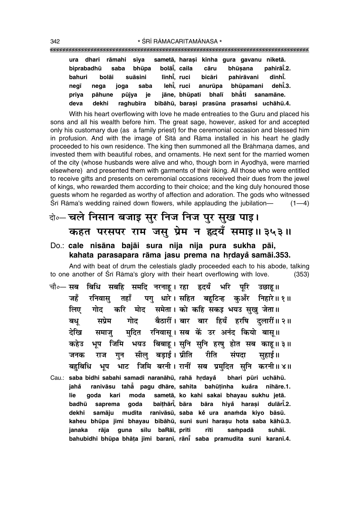| ura    |            | dhari rāmahi sīya |             |             |              |                    | sametā, harasi kīnha gura gavanu niketā. |                                           |
|--------|------------|-------------------|-------------|-------------|--------------|--------------------|------------------------------------------|-------------------------------------------|
|        | biprabadhū | saba              | bhūpa       |             | bolāi, caila | cāru               | bhūsana                                  | pahirāī.2.                                |
| bahuri |            | bolāi             | suāsini     | līnhī, ruci |              | bicāri             | pahirāvani                               | dīnhī.                                    |
| negī   | nega       | ioga              | saba        |             |              | lehi, ruci anurūpa | bhūpamani                                | dehī̃.3.                                  |
| priya  | pāhune     |                   | ie<br>pūjya |             |              |                    | jāne, bhūpati bhalī bhåti sanamāne.      |                                           |
| deva   | dekhi      |                   | raghubīra   |             |              |                    |                                          | bibāhū, barasi prasūna prasamsi uchāhū.4. |

With his heart overflowing with love he made entreaties to the Guru and placed his sons and all his wealth before him. The great sage, however, asked for and accepted only his customary due (as a family priest) for the ceremonial occasion and blessed him in profusion. And with the image of Sītā and Rāma installed in his heart he gladly proceeded to his own residence. The king then summoned all the Brāhmana dames, and invested them with beautiful robes, and ornaments. He next sent for the married women of the city (whose husbands were alive and who, though born in Ayodhyå, were married elsewhere) and presented them with garments of their liking. All those who were entitled to receive gifts and presents on ceremonial occasions received their dues from the jewel of kings, who rewarded them according to their choice; and the king duly honoured those guests whom he regarded as worthy of affection and adoration. The gods who witnessed  $\sin$  Rāma's wedding rained down flowers, while applauding the jubilation— (1—4)

# दो**० चले निसान बजाइ सुर निज निज पुर सुख पाइ। कहत परसपर राम जसु प्रेम न हृदयँ समाइ॥३५३॥**

#### Do.: **cale nisåna bajåi sura nija nija pura sukha påi, kahata parasapara rāma jasu prema na hrdaya samāi.353.**

And with beat of drum the celestials gladly proceeded each to his abode, talking to one another of Śrī Rāma's glory with their heart overflowing with love. (353)

- चौ०— सब बिधि सबहि समदि नरनाहू। रहा हृदयँ भरि पूरि उछाहू॥ जहँ रनिवास् तहाँ पग् धारे। सहित बहटिन्ह कुअँर निहारे॥ १॥ िलए गोद करि मोद समेता। को कहि सकइ भयउ सख जेता॥ **बधू सप्रेम गोद बैठारीं।** बार बार हियँ हरषि दुलारीं॥२॥ देखि समाजु मुदित रनिवासू।**सब कें उर अनंद कियो बासू**॥ कहेउ भूप जिमि भयउ बिबाहू। सुनि सुनि हरषु होत सब काहू॥ ३॥ जनक राज गुन सीलु बडाई। प्रीति रीति संपदा सहाई॥ ेबहबिधि भूप भाट जिमि बरनी।**रानीं सब प्रमदित सनि करनी॥४॥**
- Cau.: saba bidhi sabahi samadi naranāhū, rahā hrdaya bhari pūri uchāhū. **jaha° ranivåsu tahå° pagu dhåre, sahita bahµu¢inha kua°ra nihåre.1. lie goda kari moda sametå, ko kahi sakai bhayau sukhu jetå. badhµu saprema goda bai¢hår∂° , båra båra hiya hara¶i dulår∂ ° ° .2. dekhi samåju mudita ranivåsµu, saba ke ura ana≈da kiyo båsµu. °** kaheu bhūpa jimi bhayau bibāhū, suni suni harașu hota saba kāhū.3. **janaka råja guna s∂lu baRå∂, pr∂ti r∂ti sa≈padå suhå∂. bahubidhi bhµupa bhå¢a jimi baran∂, rån∂° saba pramudita suni karan∂.4.**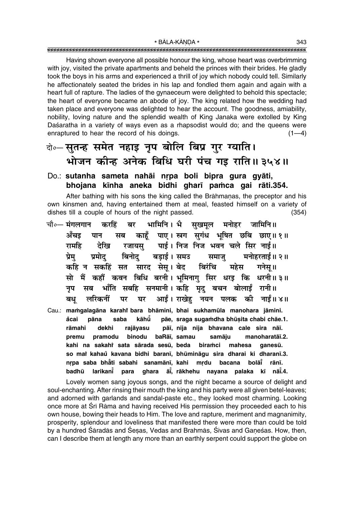Having shown everyone all possible honour the king, whose heart was overbrimming with joy, visited the private apartments and beheld the princes with their brides. He gladly took the boys in his arms and experienced a thrill of joy which nobody could tell. Similarly he affectionately seated the brides in his lap and fondled them again and again with a heart full of rapture. The ladies of the gynaeceum were delighted to behold this spectacle; the heart of everyone became an abode of joy. The king related how the wedding had taken place and everyone was delighted to hear the account. The goodness, amiability, nobility, loving nature and the splendid wealth of King Janaka were extolled by King Daśaratha in a variety of ways even as a rhapsodist would do; and the queens were enraptured to hear the record of his doings.  $(1-4)$ 

### केन्सतन्ह समेत नहाइ नूप बोलि बिप्र गुर ग्याति। भोजन कीन्ह अनेक बिधि घरी पंच गइ राति॥ ३५४॥

#### Do.: sutanha sameta nahāi nrpa boli bipra qura qyāti, bhojana kīnha aneka bidhi gharī pamca gai rāti.354.

After bathing with his sons the king called the Brāhmanas, the preceptor and his own kinsmen and, having entertained them at meal, feasted himself on a variety of dishes till a couple of hours of the night passed.  $(354)$ 

भामिनि । भै सुखमूल मनोहर जामिनि ॥ चौ∘— मंगलगान करहिं बर काहूँ पाए। स्त्रग सुगंध भूषित छबि छाए॥१॥ अँचड पान सब रजायस् पाई। निज निज भवन चले सिर नाई।। रामहि देखि बड़ाई । समउ बिनोट समाज् मनोहरताई॥ २॥ प्रेम प्रमोट सारद सेस् । बेद बिरंचि गनेसु ॥ कहि न सकहिं सत महेस सो मैं कहाँ कवन बिधि बरनी। भूमिनाग सिर धरड़ कि धरनी॥३॥ भाँति सबहि सनमानी। कहि मृद् बचन बोलाईं रानी॥ नप सब आईं। राखेह नयन पलक की नाईं॥४॥ बध लरिकनीं पर घर Cau.: mamgalagāna karahi bara bhāmini, bhai sukhamūla manohara jāmini. åcai pāna saba kāhū pāe, sraga sugamdha bhūsita chabi chāe.1. rāmahi dekhi rajāvasu pāī, nija nija bhavana cale sira nāī. pramodu binodu baRāī, samau samāju manoharatāī.2. premu biramci kahi na sakahi sata sārada sesū, beda mahesa ganesū. so mai kahaŭ kavana bidhi baranī, bhūmināgu sira dharai ki dharanī.3. nrpa saba bhati sabahi sanamānī, kahi mrdu bacana bolāĭ rānī. badhū larikant<sup>\*</sup> para ghara āi, rākhehu nayana palaka kī nāi.4.

Lovely women sang joyous songs, and the night became a source of delight and soul-enchanting. After rinsing their mouth the king and his party were all given betel-leaves; and adorned with garlands and sandal-paste etc., they looked most charming. Looking once more at Srī Rāma and having received His permission they proceeded each to his own house, bowing their heads to Him. The love and rapture, meriment and magnanimity, prosperity, splendour and loveliness that manifested there were more than could be told by a hundred Śāradās and Śesas, Vedas and Brahmās, Śivas and Ganeśas. How, then, can I describe them at length any more than an earthly serpent could support the globe on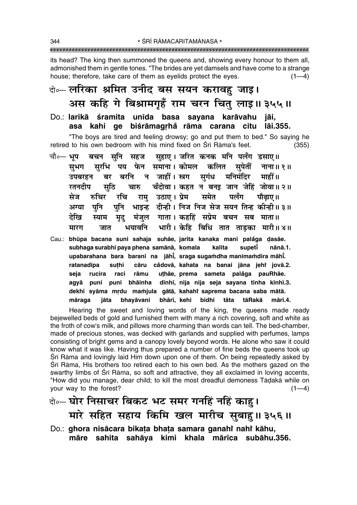its head? The king then summoned the queens and, showing every honour to them all, admonished them in gentle tones. "The brides are yet damsels and have come to a strange house; therefore, take care of them as evelids protect the eves.  $(1-4)$ 

# के-लरिका श्रमित उनीद बस सयन करावहु जाइ। अस कहि गे बिश्रामगृहँ राम चरन चितु लाइ॥ ३५५॥

Do.: larikā śramita unīda basa sayana karāvahu jāi, asa kahi qe biśrāmagrhå rāma carana citu lāi.355.

"The boys are tired and feeling drowsy; go and put them to bed." So saying he retired to his own bedroom with his mind fixed on Srī Rāma's feet.  $(355)$ 

- बचन सुनि सहज सुहाए । जरित कनक मनि पलँग डसाए ॥ चौ०— भूप सरभि पय फेन समाना। कोमल कलित सपेतीं नाना॥१॥ सभग बर बरनि न जाहीं।स्त्रग सुगंध मनिमंदिर माहीं॥ उपबरहन चँदोवा । कहत न बनइ जान जेहिं जोवा ॥ २ ॥ रतनदीप सठि चारु रामु उठाए।ऐ्रेम समेत पलँग मेज रुचिर रचि पौढाए॥ भाइन्ह दीन्ही। निज निज सेज सयन तिन्ह कीन्ही ॥ ३ ॥ पनि पनि अग्या मंजुल गाता। कहहिं सप्रेम बचन सब माता॥ देखि स्याम मद भारी। केहि बिधि तात ताड़का मारी॥४॥ मारग भयावनि जात
- Cau.: bhūpa bacana suni sahaja suhāe, jarita kanaka mani palăga dasāe. subhaga surabhi paya phena samānā, komala kalita supeti nānā.1. upabarahana bara barani na jāhi, sraga sugamdha manimamdira māhi. cāru cådovā, kahata na banai jāna jehř jovā.2. ratanadīpa suthi uțhãe, prema sameta palăga pauRhãe. rucira rāmu seja raci agyā puni puni bhāinha dīnhī, nija nija seja sayana tinha kīnhī.3. dekhi syāma mrdu mamjula gātā, kahahi saprema bacana saba mātā. jāta bhayāvani bhārī, kehi bidhi tāta tāRakā mārī.4. māraga

Hearing the sweet and loving words of the king, the queens made ready bejewelled beds of gold and furnished them with many a rich covering, soft and white as the froth of cow's milk, and pillows more charming than words can tell. The bed-chamber, made of precious stones, was decked with garlands and supplied with perfumes, lamps consisting of bright gems and a canopy lovely beyond words. He alone who saw it could know what it was like. Having thus prepared a number of fine beds the queens took up Śrī Rāma and lovingly laid Him down upon one of them. On being repeatedly asked by Srī Rāma, His brothers too retired each to his own bed. As the mothers gazed on the swarthy limbs of Srī Rāma, so soft and attractive, they all exclaimed in loving accents, "How did you manage, dear child; to kill the most dreadful demoness Tādakā while on your way to the forest?  $(1-4)$ 

- बेन्ट घोर निसाचर बिकट भट समर गनहिं नहिं काहु। मारे सहित सहाय किमि खल मारीच सुबाहु॥३५६॥
- Do.: ghora nisācara bikata bhata samara ganahi nahi kāhu, māre sahita sahāya kimi khala mārīca subāhu.356.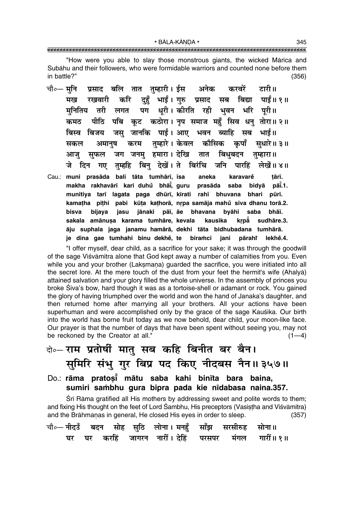\* BĀLA-KĀNDA \* 

"How were you able to slay those monstrous giants, the wicked Mārīca and Subāhu and their followers, who were formidable warriors and counted none before them in battle?"  $(356)$ 

- प्रसाद बलि तात तुम्हारी। ईस अनेक चौ∘— मनि करवरें टारी॥ करि दुहँ भाईं। गुरु प्रसाद सब बिद्या पाईं॥१॥ मख रखवारी पग धूरी। कीरति रही भुवन भरि पूरी॥ मनितिय तरी लगत पीठि पबि कट कठोरा। नप समाज महँ सिव धन तोरा॥२॥ कमत जस् जानकि पाई। आए भवन ब्याहि सब भाई॥ बिस्व बिजय तम्हारे। केवल कौसिक करम कपाँ अमानष सधारे॥ ३॥ सकल जग जनम हमारा। देखि तात बिधुबदन तम्हारा ॥ आज सफल दिन गए तुम्हहि बिन् देखें।ते बिरंचि जनि पारहिं लेखें॥४॥ जे
- Cau.: muni prasāda bali tāta tumhārī, īsa karavarě tārī. aneka makha rakhavārī kari duhů bhāi, guru pāt.1. prasāda saba bidvā munitiya tarī lagata paga dhūrī, kīrati rahī bhuvana bhari pūrī. kamatha pīthi pabi kūta kathorā, nrpa samāja mahů siva dhanu torā.2. bijava iasu jānaki pāī, āe bhavana byāhi saba bhāī. bisva sakala amānusa karama tumhāre, kevala kausika krpå sudhāre.3. āju suphala jaga janamu hamārā, dekhi tāta bidhubadana tumhārā. je dina gae tumhahi binu dekhe, te biramci jani pārahi lekhě.4.

"I offer myself, dear child, as a sacrifice for your sake; it was through the goodwill of the sage Viśvāmitra alone that God kept away a number of calamities from you. Even while you and your brother (Laksmana) guarded the sacrifice, you were initiated into all the secret lore. At the mere touch of the dust from your feet the hermit's wife (Ahalya) attained salvation and your glory filled the whole universe. In the assembly of princes you broke Śiva's bow, hard though it was as a tortoise-shell or adamant or rock. You gained the glory of having triumphed over the world and won the hand of Janaka's daughter, and then returned home after marrying all your brothers. All your actions have been superhuman and were accomplished only by the grace of the sage Kausika. Our birth into the world has borne fruit today as we now behold, dear child, your moon-like face. Our prayer is that the number of days that have been spent without seeing you, may not be reckoned by the Creator at all."  $(1-4)$ 

# वे०- राम प्रतोषीं मातु सब कहि बिनीत बर बैन। सुमिरि संभु गुर बिप्र पद किए नीदबस नैन॥३५७॥

Do.: rāma pratosi mātu saba kahi binīta bara baina, sumiri sambhu gura bipra pada kie nīdabasa naina.357.

Sri Rama gratified all His mothers by addressing sweet and polite words to them; and fixing His thought on the feet of Lord Sambhu, His preceptors (Vasistha and Viśvāmitra) and the Brāhmanas in general, He closed His eyes in order to sleep.  $(357)$ 

|  |  | चौ०— नीदउँ बदन सोह सुठि लोना। मनहुँ साँझ सरसीरुह सोना॥ |  |  |
|--|--|--------------------------------------------------------|--|--|
|  |  | घर घर करहिं जागरन नारीं। देहिं परसपर मंगल गारीं॥ १॥    |  |  |

345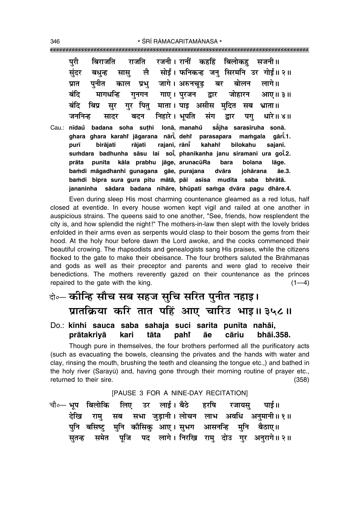परी राजति रजनी। रानीं कहहिं बिलोकह सजनी।। बिराजति सोईं। फनिकन्ह जन् सिरमनि उर गोईं॥ २॥ संदर लै बधन्ह सास प्रभु जागे। अरुनचूड़ प्रात पनीत बर बोलन लागे।। काल बंदि गाए । परजन मागधन्ति गनगन द्वार जोहारन आए॥ ३॥ गर पित माता। पाइ असीस मदित बंदि बिप्र सर सब भ्राता ॥ निहारे । भूपति जननिन्ह संग सादर बदन द्वार पग् धारे॥ ४॥ suthi lonā, manahů såiha sarasīruha sonā. Cau.: nīdau badana soha ahara ahara karahi iāgarana nārī dehi parasapara mamqala aārī.1. bilokahu purī birāiati rājati rajanī, rānī kahaht saianī. sumdara badhunha sāsu lai soi, phanikanha janu siramani ura goi.2. punīta kāla prabhu jāge, arunacūRa lāge. prāta bara bolana bamdi māgadhanhi gunagana gāe, purajana dvāra johārana āe.3. bamdi bipra sura qura pitu mātā, pāi asīsa mudita saba bhrātā. jananinha sādara badana nihāre, bhūpati samga dvāra pagu dhāre.4.

Even during sleep His most charming countenance gleamed as a red lotus, half closed at eventide. In every house women kept vigil and railed at one another in auspicious strains. The queens said to one another, "See, friends, how resplendent the city is, and how splendid the night!" The mothers-in-law then slept with the lovely brides enfolded in their arms even as serpents would clasp to their bosom the gems from their hood. At the holy hour before dawn the Lord awoke, and the cocks commenced their beautiful crowing. The rhapsodists and genealogists sang His praises, while the citizens flocked to the gate to make their obeisance. The four brothers saluted the Brāhmanas and gods as well as their preceptor and parents and were glad to receive their benedictions. The mothers reverently gazed on their countenance as the princes repaired to the gate with the king.  $(1-4)$ 

# के- कोन्हि सौच सब सहज सुचि सरित पुनीत नहाइ। प्रातक्रिया करि तात पहिं आए चारिउ भाइ॥३५८॥

#### Do.: kinhi sauca saba sahaja suci sarita punita nahāi, prātakriyā kari āe cāriu bhai.358. tāta pahi

Though pure in themselves, the four brothers performed all the purificatory acts (such as evacuating the bowels, cleansing the privates and the hands with water and clay, rinsing the mouth, brushing the teeth and cleansing the tongue etc.,) and bathed in the holy river (Sarayū) and, having gone through their morning routine of prayer etc., returned to their sire.  $(358)$ 

[PAUSE 3 FOR A NINE-DAY RECITATION]

चौ०— भूप बिलोकि लिए उर लाई । बैठे हरषि रजायस पार्ड ॥ सभा जुड़ानी। लोचन लाभ अवधि अनुमानी॥१॥ देखि राम् सब मुनि कौसिकु आए। सुभग आसनन्हि पनि मुनि बसिष्ट बैठाए॥ पूजि पद लागे।निरखि राम् दोउ गुर अनुरागे॥२॥ समेत सतन्ह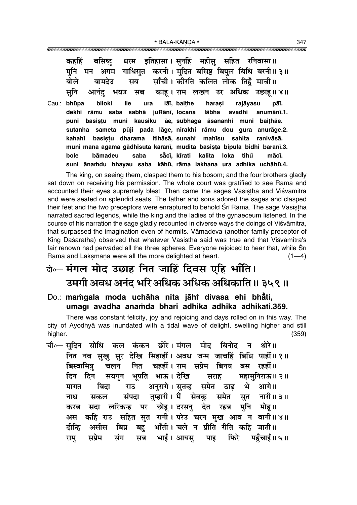| कहहिं बसिष्ट् धरम इतिहासा।सुनहिं महीसु सहित रनिवासा॥                              |  |
|-----------------------------------------------------------------------------------|--|
| मुनि मन अगम गाधिसुत करनी। मुदित बसिष्ट बिपुल बिधि बरनी॥३॥                         |  |
| बोले बामदेउ सब साँची। कीरति कलित लोक तिहँ माची॥                                   |  |
| सुनि आनंदु भयउ सब काहू। राम लखन उर अधिक उछाहू॥ ४॥                                 |  |
| المتحدث والمتحاول والمعالجة والمستحدث والمستحل المستحل والمستحل والمستحل والمستحل |  |

Cau.: bhūpa hiloki lie ura lāī, baithe harasi rajāyasu pāī. dekhi rāmu saba sabhā juRānī, locana lābha avadhi anumānī.1. puni basistu muni kausiku āe, subhaga āsananhi muni baithāe. sutanha sameta pūji pada lāge, nirakhi rāmu dou gura anurāge.2. basistu dharama itihāsā, sunahi kahahi mahīsu sahita ranivāsā. muni mana agama gādhisuta karanī, mudita basista bipula bidhi baranī.3. såcī, kīrati bāmadeu saba kalita loka tihů bole mācī. suni ānamdu bhayau saba kāhū, rāma lakhana ura adhika uchāhū.4.

The king, on seeing them, clasped them to his bosom; and the four brothers gladly sat down on receiving his permission. The whole court was gratified to see Rāma and accounted their eyes supremely blest. Then came the sages Vasistha and Viśvāmitra and were seated on splendid seats. The father and sons adored the sages and clasped their feet and the two preceptors were enraptured to behold Sri Rama. The sage Vasistha narrated sacred legends, while the king and the ladies of the gynaeceum listened. In the course of his narration the sage gladly recounted in diverse ways the doings of Visvamitra, that surpassed the imagination even of hermits. Vamadeva (another family preceptor of King Daśaratha) observed that whatever Vasistha said was true and that Viśvāmitra's fair renown had pervaded all the three spheres. Everyone rejoiced to hear that, while Srī Rāma and Laksmana were all the more delighted at heart.  $(1-4)$ 

# वे॰– मंगल मोद उछाह नित जाहिं दिवस एहि भाँति। उमगी अवध अनंद भरि अधिक अधिक अधिकाति॥ ३५९॥

Do.: mamgala moda uchāha nita jāhi divasa ehi bhāti, umagī avadha anamda bhari adhika adhika adhikāti.359.

There was constant felicity, joy and rejoicing and days rolled on in this way. The city of Ayodhya was inundated with a tidal wave of delight, swelling higher and still higher.  $(359)$ 

चौ∘— सदिन सोधि कल कंकन छोरे।मंगल मोद बिनोद न थोरे ॥ नित नव सुखु सुर देखि सिहाहीं। अवध जन्म जाचहिं बिधि पाहीं॥१॥ बिस्वामित्र नित चहहीं। राम सप्रेम बिनय बस रहहीं॥ चलन भूपति भाऊ। देखि दिन दिन सयगन सराह महामनिराऊ॥ २॥ मागत अनुरागे। सुतन्ह समेत भे आगे।। बिदा ठाढ राउ तम्हारी। मैं सेवक सत नारी॥३॥ नाथ संपदा समेत सकल सदा लरिकन्ह पर छोह।दरसनु देत रहब मनि मोह॥ करब कहि राउ सहित सुत रानी। परेउ चरन मुख आव न बानी॥४॥ अस बह भाँती। चले न प्रीति रीति कहि जाती॥ दीन्हि असीस बिप्र भाई । आयस् फिरे पहुँचाई॥५॥ संग सब पाड राम् सप्रेम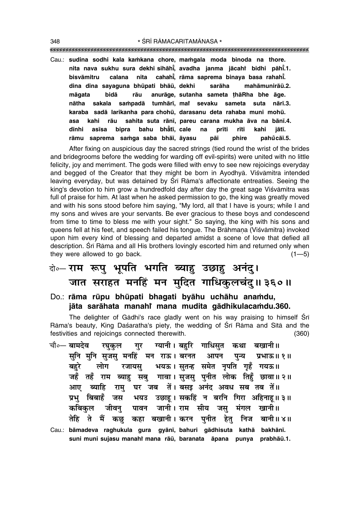""""""""""""""""""""""""""""""""""""""""""""""""""""""""""""""""""""""""""""""""""" 348 \* SRĪ RĀMACARITAMĀNASA \*

Cau.: **sudina sodhi kala ka≈kana chore, ma≈gala moda binoda na thore. nita nava sukhu sura dekhi sihåh∂° , avadha janma jåcahiÚ bidhi påh∂° .1. bisvāmitru calana nita , råma saprema binaya basa rahah∂° . dina dina sayaguna bhµupati bhåµu, dekhi saråha mahåmuniråµu.2. mågata bidå råu anuråge, sutanha sameta ¢håRha bhe åge.** nātha sakala saṁpadā tumhārī, mai sevaku sameta suta nārī<mark>.3.</mark> karaba sadā larikanha para chohū, darasanu deta rahaba muni mohū. **asa kahi råu sahita suta rån∂, pareu carana mukha åva na bån∂.4. d∂nhi as∂sa bipra bahu bhå° t∂, cale na pr∂ti r∂ti kahi jåt∂. råmu saprema sa≈ga saba bhå∂, åyasu påi phire pahu° cå∂.5.**

After fixing on auspicious day the sacred strings (tied round the wrist of the brides and bridegrooms before the wedding for warding off evil-spirits) were united with no little felicity, joy and merriment. The gods were filled with envy to see new rejoicings everyday and begged of the Creator that they might be born in Ayodhyā. Viśvāmitra intended leaving everyday, but was detained by Śrī Rāma's affectionate entreaties. Seeing the king's devotion to him grow a hundredfold day after day the great sage Viśvāmitra was full of praise for him. At last when he asked permission to go, the king was greatly moved and with his sons stood before him saying, "My lord, all that I have is yours; while I and my sons and wives are your servants. Be ever gracious to these boys and condescend from time to time to bless me with your sight." So saying, the king with his sons and queens fell at his feet, and speech failed his tongue. The Brāhmana (Viśvāmitra) invoked upon him every kind of blessing and departed amidst a scene of love that defied all description. Śrī Rāma and all His brothers lovingly escorted him and returned only when they were allowed to go back.  $(1-5)$ 

# दो**०– राम रूप भूपति भगति ब्याह उछाह अनंद।** जात सराहत मनहिं मन मुदित गाधिकुलचं<u>दु</u>॥३६०॥

Do.: rāma rūpu bhūpati bhagati byāhu uchāhu anamdu, **jåta saråhata manahiÚ mana mudita gådhikulaca≈du.360.**

The delighter of Gādhi's race gladly went on his way praising to himself Śrī Rāma's beauty, King Dasaratha's piety, the wedding of Srī Rāma and Sītā and the festivities and rejoicings connected therewith. (360)

- चौ०— <mark>बामदेव रघुकुल गुर ग्यानी। बहुरि गाधिसुत कथा बखानी॥</mark> सुनि मुनि सुजसु मनहिं मन राऊ। बरनत आपन पुन्य प्रभाऊ॥१॥ बहरे लोग रजायस् भयऊ।सुतन्ह समेत नृपति गृहँ गयऊ॥ जहँ तहँ राम ब्याह सबु गावा। सुजसु पुनीत लोक तिहँ छावा॥ २॥ आए ब्याहि राम् घर जब तें। बसइ अनंद अवध सब तब तें॥ **प्रभु बिबाहँ जस भयउ उछाह।**सकहिं न बरनि गिरा अहिनाह॥३॥ **ऋबिकुल जीवन् पावन जानी।** राम सीय जस् मंगल खानी॥ तेहि ते मैं कछ कहा बखानी।करन पुनीत हेतु निज बानी॥४॥
- Cau.: **båmadeva raghukula gura gyån∂, bahuri gådhisuta kathå bakhån∂.** suni muni sujasu manahî mana rāū, baranata āpana punya prabhāū.1.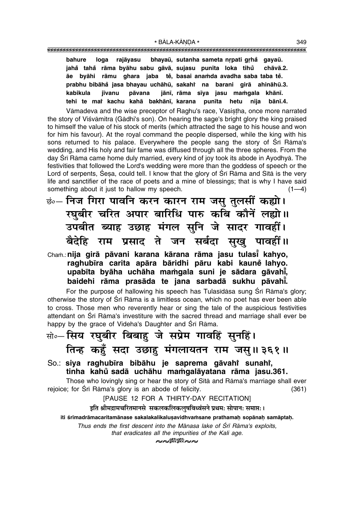**bahure** loga rajāyasu bhayaū, sutanha sameta nrpati grhå gayaū. **jaha° taha° råma byåhu sabu gåvå, sujasu pun∂ta loka tihu chåvå.2. ° åe byåhi råmu ghara jaba te°, basai ana≈da avadha saba taba te°. prabhu bibåha° jasa bhayau uchåhµu, sakahiÚ na barani girå ahinåhµu.3.** kabikula jīvanu pāvana jānī, rāma sīya jasu mamgala khānī. tehi te ma<mark>i kachu kahā bakhānī, karana punīta hetu nija bānī.4.</mark>

Vāmadeva and the wise preceptor of Raghu's race, Vasistha, once more narrated the story of Viśvāmitra (Gādhi's son). On hearing the sage's bright glory the king praised to himself the value of his stock of merits (which attracted the sage to his house and won for him his favour). At the royal command the people dispersed, while the king with his sons returned to his palace. Everywhere the people sang the story of Śrī Rāma's wedding, and His holy and fair fame was diffused through all the three spheres. From the day Srī Rāma came home duly married, every kind of joy took its abode in Ayodhyā. The festivities that followed the Lord's wedding were more than the goddess of speech or the Lord of serpents, Śeṣa, could tell. I know that the glory of Śrī Rāma and Sītā is the very life and sanctifier of the race of poets and a mine of blessings; that is why I have said something about it just to hallow my speech.  $(1-4)$ 

ङं∘– निज गिरा पावनि करन कारन राम जसु तुलसीं कह्यो। *र*घबीर चरित अपार बारिधि पारु कबि कौनें लह्यो।। <u>उपबीत ब्याह उछाह मंगल सुनि जे सादर गावहीं।</u> **बैदेहि राम प्रसाद ते जन सर्बदा सुखु पावहीं।।** 

### Cha≈.:**nija girå påvani karana kårana råma jasu tulas∂° kahyo, raghub∂ra carita apåra båridhi påru kabi kaune lahyo. ° upab∂ta byåha uchåha ma≈gala suni je sådara gåvah∂° , baidehi råma prasåda te jana sarbadå sukhu påvah∂° .**

For the purpose of hallowing his speech has Tulasīdāsa sung Śrī Rāma's glory; otherwise the story of Srī Rāma is a limitless ocean, which no poet has ever been able to cross. Those men who reverently hear or sing the tale of the auspicious festivities attendant on Śrī Rāma's investiture with the sacred thread and marriage shall ever be happy by the grace of Videha's Daughter and Śrī Rāma.

# सो०-सिय रघुबीर बिबाहु जे सप्रेम गावहिं सुनहिं। <u>तिन्ह</u> कहुँ सदा उछाहु मंगलायतन राम जसु॥३६१॥

 $\rm So.$ : siya raghubīra bibāhu je saprema gāvahi sunahi, **tinha kahu sadå uchåhu ma≈galåyatana råma jasu.361. °**

Those who lovingly sing or hear the story of Sītā and Rāma's marriage shall ever rejoice; for Srī Rāma's glory is an abode of felicity. (361)

[PAUSE 12 FOR A THIRTY-DAY RECITATION]

इति श्रीमद्रामचरितमानसे सकलकलिकलुषविध्वंसने प्रथमः सोपानः समाप्तः ।

iti śrīmadrāmacaritamānase sakalakalikaluṣavidhvaṁsane prathamaḥ sopānaḥ samāptaḥ.

*Thus ends the first descent into the Mānasa lake of Śrī Rāma's exploits, that eradicates all the impurities of the Kali age.*

 $\sim\!\!\times\!\!\mathbb{N}$ M $\sim\!\!\times$